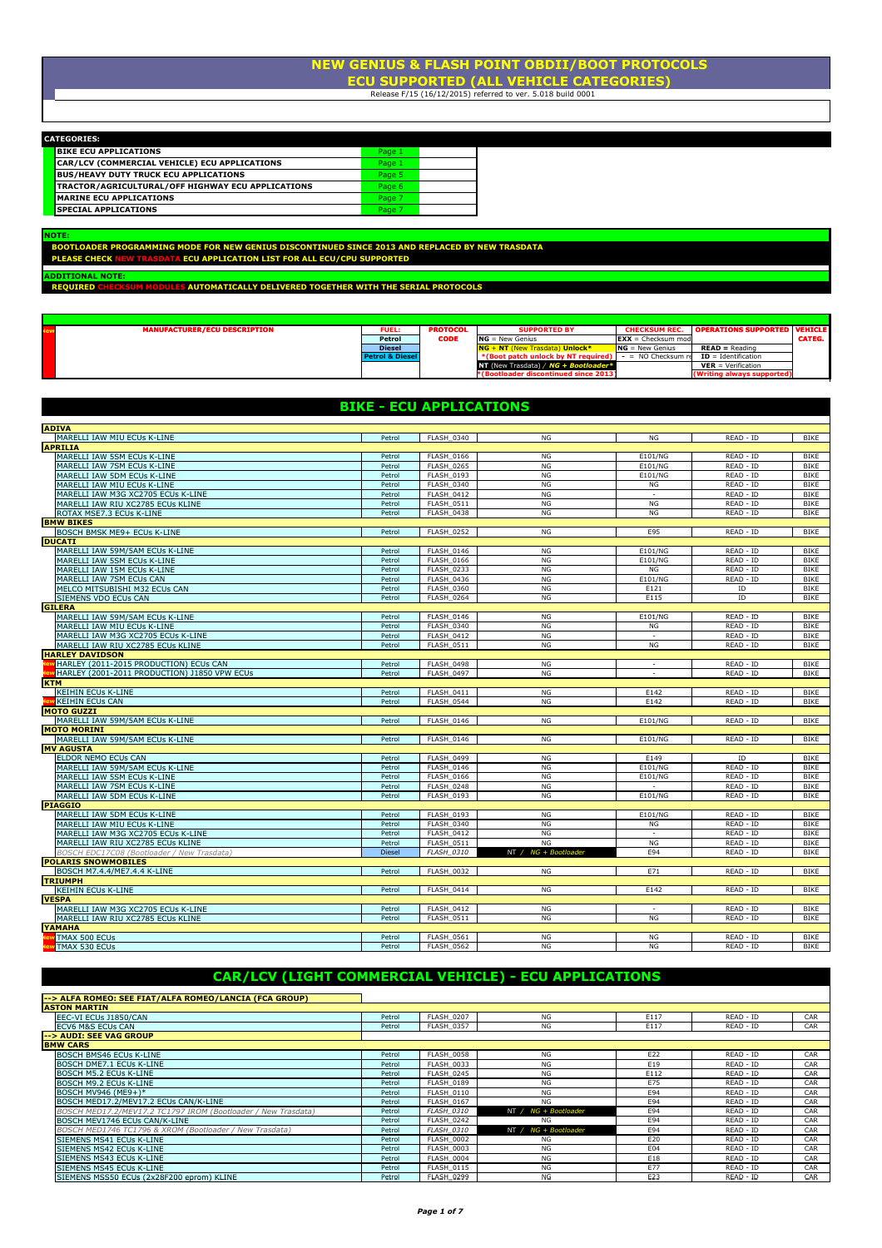#### ECU SUPPORTED (ALL VEHICLE CATEGORIES) NEW GENIUS & FLASH POINT OBDII/BOOT PROTOCOLS  $\overline{\phantom{a}}$  DIMENSIONE SPORT SPORT SECTION  $\overline{\phantom{a}}$

Release F/15 (16/12/2015) referred to ver. 5.018 build 0001

| <b>CATEGORIES:</b> |  |  |
|--------------------|--|--|
|                    |  |  |

| NIEGURIES:                                               |        |  |
|----------------------------------------------------------|--------|--|
| <b>BIKE ECU APPLICATIONS</b>                             | Page 1 |  |
| CAR/LCV (COMMERCIAL VEHICLE) ECU APPLICATIONS            | Page 1 |  |
| <b>BUS/HEAVY DUTY TRUCK ECU APPLICATIONS</b>             | Page 5 |  |
| <b>TRACTOR/AGRICULTURAL/OFF HIGHWAY ECU APPLICATIONS</b> | Page 6 |  |
| MARINE ECU APPLICATIONS                                  | Page 7 |  |
| <b>ISPECIAL APPLICATIONS</b>                             | Page 7 |  |

BOOTLOADER PROGRAMMING MODE FOR NEW GENIUS DISCONTINUED SINCE 2013 AND REPLACED BY NEW TRASDATA<br>PLEASE CHECK NEW TRASDATA ECU APPLICATION LIST FOR ALL ECU/CPU SUPPORTED NOTE:

.<br><mark>ADDITIONAL NOTE:</mark><br>REQUIRED CHECK

UM MODULES AUTOMATICALLY DELIVERED TOGETHER WITH THE SERIAL PROTOCOLS

| <b>MANUFACTURER/ECU DESCRIPTION</b> | <b>FUEL:</b>               | <b>PROTOCOL</b> | <b>SUPPORTED BY</b>                                      | <b>CHECKSUM REC.</b> | <b>OPERATIONS SUPPORTED VEHICLE</b> |        |
|-------------------------------------|----------------------------|-----------------|----------------------------------------------------------|----------------------|-------------------------------------|--------|
|                                     | Petrol                     | <b>CODE</b>     | $NG = New Genius$                                        | $EXX =$ Checksum mod |                                     | CATEG. |
|                                     | <b>Diesel</b>              |                 | $NG + NT$ (New Trasdata) Unlock*                         | $NG = New Genius$    | $READ = Readina$                    |        |
|                                     | <b>Petrol &amp; Diesel</b> |                 | *(Boot patch unlock by NT required) $-$ = NO Checksum re |                      | $ID = Identification$               |        |
|                                     |                            |                 | NT (New Trasdata) / NG + Bootloader*                     |                      | $VER = Verification$                |        |
|                                     |                            |                 | *(Bootloader discontinued since 2013)                    |                      | (Writing always supported)          |        |

#### BIKE - ECU APPLICATIONS

| <b>ADIVA</b>                                 |        |                   |                      |                          |           |             |
|----------------------------------------------|--------|-------------------|----------------------|--------------------------|-----------|-------------|
| MARELLI IAW MIU ECUs K-LINE                  | Petrol | FLASH 0340        | <b>NG</b>            | <b>NG</b>                | READ - ID | <b>BIKE</b> |
| <b>APRILIA</b>                               |        |                   |                      |                          |           |             |
| MARELLI IAW 5SM ECUs K-LINE                  | Petrol | <b>FLASH 0166</b> | NG                   | E101/NG                  | READ - ID | BIKE        |
| MARELLI IAW 7SM ECUs K-LINE                  | Petrol | <b>FLASH 0265</b> | NG                   | E101/NG                  | READ - ID | <b>BIKE</b> |
| MARELLI IAW 5DM ECUs K-LINE                  | Petrol | <b>FLASH 0193</b> | NG                   | E101/NG                  | READ - ID | <b>BIKE</b> |
| MARELLI IAW MIU ECUs K-LINE                  | Petrol | <b>FLASH 0340</b> | <b>NG</b>            | NG                       | READ - ID | <b>BIKE</b> |
| MARELLI IAW M3G XC2705 ECUs K-LINE           | Petrol | <b>FLASH 0412</b> | NG                   | $\sim$                   | READ - ID | <b>BIKE</b> |
| MARELLI IAW RIU XC2785 ECUs KLINE            | Petrol | FLASH 0511        | NG                   | <b>NG</b>                | READ - ID | <b>BIKE</b> |
| ROTAX MSE7.3 ECUs K-LINE                     | Petrol | FLASH 0438        | <b>NG</b>            | NG                       | READ - ID | <b>BIKE</b> |
| <b>BMW BIKES</b>                             |        |                   |                      |                          |           |             |
| BOSCH BMSK ME9+ ECUs K-LINE                  | Petrol | <b>FLASH 0252</b> | NG                   | E95                      | READ - ID | BIKE        |
| <b>DUCATI</b>                                |        |                   |                      |                          |           |             |
| MARELLI IAW 59M/5AM ECUs K-LINE              | Petrol | <b>FLASH 0146</b> | <b>NG</b>            | E101/NG                  | READ - ID | <b>BIKE</b> |
| MARELLI IAW 5SM ECUs K-LINE                  | Petrol | <b>FLASH 0166</b> | <b>NG</b>            | E101/NG                  | READ - ID | <b>BIKE</b> |
| MARELLI IAW 15M ECUs K-LINE                  | Petrol | <b>FLASH 0233</b> | <b>NG</b>            | NG                       | READ - ID | <b>BIKE</b> |
| MARELLI IAW 7SM ECUs CAN                     | Petrol | <b>FLASH 0436</b> | NG                   | E101/NG                  | READ - ID | <b>BIKE</b> |
| MELCO MITSUBISHI M32 ECUs CAN                | Petrol | <b>FLASH 0360</b> | NG                   | E121                     | ID        | <b>BIKE</b> |
| SIEMENS VDO ECUs CAN                         | Petrol | <b>FLASH 0264</b> | NG                   | E115                     | ID        | <b>BIKE</b> |
| <b>GILERA</b>                                |        |                   |                      |                          |           |             |
| MARELLI IAW 59M/5AM ECUs K-LINE              | Petrol | FLASH 0146        | NG                   | E101/NG                  | READ - ID | <b>BIKE</b> |
| MARELLI IAW MIU ECUs K-LINE                  | Petrol | FLASH 0340        | NG                   | <b>NG</b>                | READ - ID | <b>BIKE</b> |
| MARELLI IAW M3G XC2705 ECUs K-LINE           | Petrol | <b>FLASH 0412</b> | NG                   | $\sim$                   | READ - ID | <b>BIKE</b> |
| MARELLI IAW RIU XC2785 ECUs KLINE            | Petrol | FLASH 0511        | NG                   | NG                       | READ - ID | BIKE        |
| <b>HARLEY DAVIDSON</b>                       |        |                   |                      |                          |           |             |
| HARLEY (2011-2015 PRODUCTION) ECUs CAN       | Petrol | FLASH 0498        | <b>NG</b>            | $\sim$                   | READ - ID | <b>BIKE</b> |
| HARLEY (2001-2011 PRODUCTION) J1850 VPW ECUs | Petrol | <b>FLASH 0497</b> | NG                   | $\sim$                   | READ - ID | <b>BIKE</b> |
| <b>KTM</b>                                   |        |                   |                      |                          |           |             |
| <b>KEIHIN ECUs K-LINE</b>                    | Petrol | <b>FLASH 0411</b> | <b>NG</b>            | E142                     | READ - ID | <b>BIKE</b> |
| <b>KEIHIN ECUS CAN</b>                       | Petrol | FLASH 0544        | NG                   | E142                     | READ - ID | <b>BIKE</b> |
| <b>MOTO GUZZI</b>                            |        |                   |                      |                          |           |             |
| MARELLI IAW 59M/5AM ECUs K-LINE              | Petrol | <b>FLASH 0146</b> | NG                   | E101/NG                  | READ - ID | BIKE        |
| <b>MOTO MORINI</b>                           |        |                   |                      |                          |           |             |
| MARELLI IAW 59M/5AM ECUs K-LINE              | Petrol | FLASH 0146        | <b>NG</b>            | E101/NG                  | READ - ID | <b>BIKE</b> |
| <b>MV AGUSTA</b>                             |        |                   |                      |                          |           |             |
| ELDOR NEMO ECUs CAN                          | Petrol | <b>FLASH 0499</b> | NG                   | E149                     | ID        | <b>BIKE</b> |
| MARELLI IAW 59M/5AM ECUs K-LINE              | Petrol | <b>FLASH 0146</b> | NG                   | E101/NG                  | READ - ID | <b>BIKE</b> |
| MARELLI IAW 5SM ECUs K-LINE                  | Petrol | <b>FLASH 0166</b> | NG                   | E101/NG                  | READ - ID | <b>BIKE</b> |
| MARELLI IAW 7SM ECUs K-LINE                  | Petrol | <b>FLASH_0248</b> | NG                   | $\overline{a}$           | READ - ID | BIKE        |
| MARELLI IAW 5DM ECUs K-LINE                  | Petrol | <b>FLASH 0193</b> | NG                   | E101/NG                  | READ - ID | <b>BIKE</b> |
| <b>PIAGGIO</b>                               |        |                   |                      |                          |           |             |
| MARELLI IAW 5DM ECUs K-LINE                  | Petrol | <b>FLASH 0193</b> | NG                   | E101/NG                  | READ - ID | <b>BIKE</b> |
| MARELLI IAW MIU ECUs K-LINE                  | Petrol | <b>FLASH 0340</b> | <b>NG</b>            | NG                       | READ - ID | <b>BIKE</b> |
| MARELLI IAW M3G XC2705 ECUs K-LINE           | Petrol | <b>FLASH 0412</b> | NG                   | $\overline{\phantom{a}}$ | READ - ID | <b>BIKE</b> |
| MARELLI IAW RIU XC2785 ECUs KLINE            | Petrol | FLASH 0511        | NG                   | <b>NG</b>                | READ - ID | <b>BIKE</b> |
| BOSCH EDC17C08 (Bootloader / New Trasdata)   | Diesel | <b>FLASH 0310</b> | NT / NG + Bootloader | E94                      | READ - ID | <b>BIKE</b> |
| <b>POLARIS SNOWMOBILES</b>                   |        |                   |                      |                          |           |             |
| BOSCH M7.4.4/ME7.4.4 K-LINE                  | Petrol | <b>FLASH_0032</b> | <b>NG</b>            | E71                      | READ - ID | <b>BIKE</b> |
| <b>TRIUMPH</b>                               |        |                   |                      |                          |           |             |
| <b>KEIHIN ECUs K-LINE</b>                    | Petrol | FLASH 0414        | NG                   | E142                     | READ - ID | BIKE        |
| <b>VESPA</b>                                 |        |                   |                      |                          |           |             |
| MARELLI IAW M3G XC2705 ECUs K-LINE           | Petrol | FLASH 0412        | <b>NG</b>            | ٠                        | READ - ID | <b>BIKE</b> |
| MARELLI IAW RIU XC2785 ECUs KLINE            | Petrol | FLASH 0511        | NG                   | NG                       | READ - ID | <b>BIKE</b> |
| <b>YAMAHA</b>                                |        |                   |                      |                          |           |             |
| TMAX 500 ECUs                                | Petrol | <b>FLASH 0561</b> | <b>NG</b>            | <b>NG</b>                | READ - ID | <b>BIKE</b> |
| TMAX 530 ECUs                                | Petrol | <b>FLASH 0562</b> | NG                   | NG                       | READ - ID | BIKE        |

### CAR/LCV (LIGHT COMMERCIAL VEHICLE) - ECU APPLICATIONS

| --> ALFA ROMEO: SEE FIAT/ALFA ROMEO/LANCIA (FCA GROUP)        |        |                   |                      |      |           |     |
|---------------------------------------------------------------|--------|-------------------|----------------------|------|-----------|-----|
| <b>ASTON MARTIN</b>                                           |        |                   |                      |      |           |     |
| EEC-VI ECUs J1850/CAN                                         | Petrol | FLASH 0207        | NG                   | E117 | READ - ID | CAR |
| <b>ECV6 M&amp;S ECUs CAN</b>                                  | Petrol | FLASH 0357        | <b>NG</b>            | E117 | READ - ID | CAR |
| --> AUDI: SEE VAG GROUP                                       |        |                   |                      |      |           |     |
| <b>BMW CARS</b>                                               |        |                   |                      |      |           |     |
| <b>BOSCH BMS46 ECUs K-LINE</b>                                | Petrol | FLASH 0058        | <b>NG</b>            | E22  | READ - ID | CAR |
| BOSCH DME7.1 ECUs K-LINE                                      | Petrol | FLASH 0033        | NG                   | E19  | READ - ID | CAR |
| BOSCH M5.2 ECUs K-LINE                                        | Petrol | FLASH 0245        | NG                   | E112 | READ - ID | CAR |
| BOSCH M9.2 ECUs K-LINE                                        | Petrol | FLASH 0189        | NG                   | E75  | READ - ID | CAR |
| BOSCH MV946 (ME9+)*                                           | Petrol | <b>FLASH 0110</b> | NG                   | E94  | READ - ID | CAR |
| BOSCH MED17.2/MEV17.2 ECUs CAN/K-LINE                         | Petrol | <b>FLASH 0167</b> | NG                   | E94  | READ - ID | CAR |
| BOSCH MED17.2/MEV17.2 TC1797 IROM (Bootloader / New Trasdata) | Petrol | FLASH 0310        | NT / NG + Bootloader | E94  | READ - ID | CAR |
| BOSCH MEV1746 ECUs CAN/K-LINE                                 | Petrol | FLASH 0242        | <b>NG</b>            | E94  | READ - ID | CAR |
| BOSCH MED1746 TC1796 & XROM (Bootloader / New Trasdata)       | Petrol | FLASH 0310        | NT / NG + Bootloader | E94  | READ - ID | CAR |
| SIEMENS MS41 ECUs K-LINE                                      | Petrol | FLASH 0002        | NG                   | E20  | READ - ID | CAR |
| SIEMENS MS42 ECUs K-LINE                                      | Petrol | FLASH 0003        | NG                   | E04  | READ - ID | CAR |
| SIEMENS MS43 ECUs K-LINE                                      | Petrol | FLASH 0004        | NG                   | E18  | READ - ID | CAR |
| SIEMENS MS45 ECUs K-LINE                                      | Petrol | FLASH 0115        | NG                   | E77  | READ - ID | CAR |
| SIEMENS MSS50 ECUs (2x28F200 eprom) KLINE                     | Petrol | <b>FLASH 0299</b> | NG                   | E23  | READ - ID | CAR |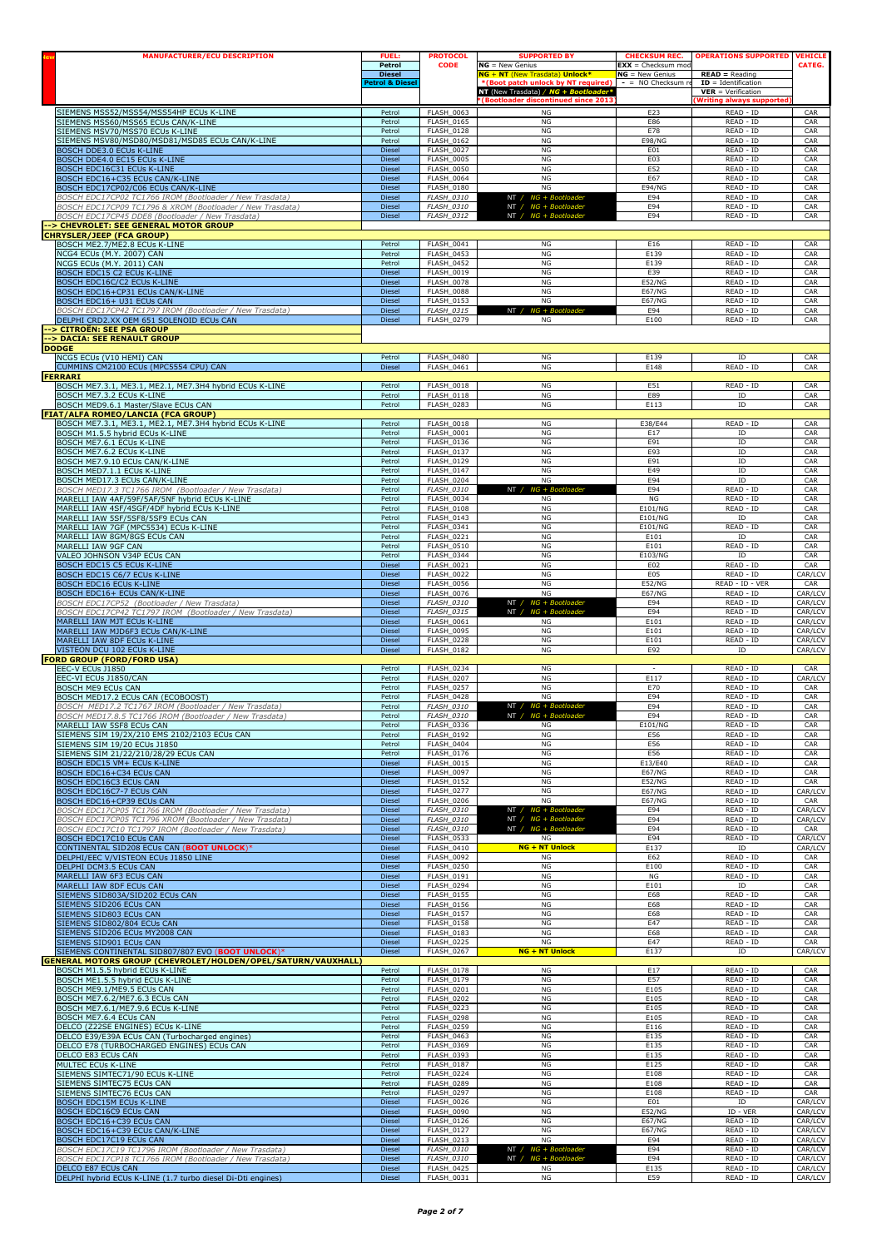| <b>MANUFACTURER/ECU DESCRIPTION</b>                                                             | <b>FUEL:</b><br>Petrol                     | <b>PROTOCOL</b><br><b>CODE</b>         | <b>SUPPORTED BY</b><br>$NG = New Genius$                                                              | <b>CHECKSUM REC.</b><br>$EXX =$ Checksum mod | <b>OPERATIONS SUPPORTED</b>                                       | <b>VEHICLI</b><br>CATEG. |
|-------------------------------------------------------------------------------------------------|--------------------------------------------|----------------------------------------|-------------------------------------------------------------------------------------------------------|----------------------------------------------|-------------------------------------------------------------------|--------------------------|
|                                                                                                 | <b>Diesel</b><br><b>Petrol &amp; Diese</b> |                                        | NG + NT (New Trasdata) Unlock*<br>*(Boot patch unlock by NT required)<br>NT (New Trasdata) / $NG + E$ | $NG = New Genius$<br>$-$ = NO Checksum $n$   | $READ = Reading$<br>$ID = Identification$<br>$VER = Verification$ |                          |
|                                                                                                 |                                            |                                        | <b>(Bootloader discontinued since 2013)</b>                                                           |                                              | <b>Writing always supported</b>                                   |                          |
| SIEMENS MSS52/MSS54/MSS54HP ECUs K-LINE                                                         | Petrol                                     | <b>FLASH 0063</b>                      | NG                                                                                                    | E23                                          | READ - ID                                                         | CAR                      |
| SIEMENS MSS60/MSS65 ECUs CAN/K-LINE                                                             | Petrol                                     | FLASH_0165                             | NG                                                                                                    | E86                                          | READ - ID                                                         | CAR                      |
| SIEMENS MSV70/MSS70 ECUs K-LINE                                                                 | Petrol                                     | <b>FLASH_0128</b>                      | NG                                                                                                    | E78                                          | READ - ID                                                         | CAR                      |
| SIEMENS MSV80/MSD80/MSD81/MSD85 ECUs CAN/K-LINE                                                 | Petrol                                     | <b>FLASH_0162</b>                      | NG                                                                                                    | <b>E98/NG</b>                                | READ - ID                                                         | CAR                      |
| BOSCH DDE3.0 ECUs K-LINE                                                                        | <b>Diesel</b>                              | <b>FLASH 0027</b>                      | NG                                                                                                    | E01                                          | READ - ID                                                         | CAR                      |
| BOSCH DDE4.0 EC15 ECUs K-LINE                                                                   | Diesel                                     | <b>FLASH_0005</b>                      | NG                                                                                                    | E03                                          | READ - ID                                                         | CAR                      |
| BOSCH EDC16C31 ECUs K-LINE                                                                      | Diesel                                     | <b>FLASH_0050</b>                      | NG                                                                                                    | E52                                          | READ - ID                                                         | CAR                      |
| BOSCH EDC16+C35 ECUs CAN/K-LINE                                                                 | Diesel                                     | <b>FLASH_0064</b>                      | NG                                                                                                    | E67                                          | READ - ID                                                         | CAR                      |
| BOSCH EDC17CP02/C06 ECUs CAN/K-LINE                                                             | <b>Diesel</b>                              | FLASH_0180                             | NG                                                                                                    | <b>E94/NG</b>                                | READ - ID                                                         | CAR                      |
| BOSCH EDC17CP02 TC1766 IROM (Bootloader / New Trasdata                                          | <b>Diesel</b>                              | FLASH_0310                             | NT / NG + Bootloader                                                                                  | E94                                          | READ - ID                                                         | CAR                      |
| BOSCH EDC17CP09 TC1796 & XROM (Bootloader / New Trasdata)                                       | Diesel                                     | <b>FLASH_0310</b>                      | NT / NG + Bootloader                                                                                  | E94                                          | READ - ID                                                         | CAR                      |
| BOSCH EDC17CP45 DDE8 (Bootloader / New Trasdata)                                                | Diesel                                     | FLASH_0312                             | NT / $NG + Boothoader$                                                                                | E94                                          | READ - ID                                                         | CAR                      |
| --> CHEVROLET: SEE GENERAL MOTOR GROUP<br><b>CHRYSLER/JEEP (FCA GROUP)</b>                      |                                            |                                        |                                                                                                       |                                              |                                                                   |                          |
| BOSCH ME2.7/ME2.8 ECUs K-LINE                                                                   | Petrol                                     | FLASH_0041                             | ${\sf NG}$                                                                                            | E16                                          | READ - ID                                                         | CAR                      |
| <b>NCG4 ECUs (M.Y. 2007) CAN</b>                                                                | Petrol                                     | <b>FLASH_0453</b>                      | NG                                                                                                    | E139                                         | READ - ID                                                         | CAR                      |
| NCG5 ECUs (M.Y. 2011) CAN                                                                       | Petrol                                     | <b>FLASH 0452</b>                      | NG                                                                                                    | E139                                         | READ - ID                                                         | CAR                      |
| BOSCH EDC15 C2 ECUs K-LINE                                                                      | Diesel                                     | FLASH_0019                             | NG                                                                                                    | E39                                          | READ - ID                                                         | CAR                      |
| BOSCH EDC16C/C2 ECUs K-LINE                                                                     | Diesel                                     | <b>FLASH_0078</b>                      | NG                                                                                                    | <b>E52/NG</b>                                | READ - ID                                                         | CAR                      |
| BOSCH EDC16+CP31 ECUs CAN/K-LINE                                                                | Diesel                                     | <b>FLASH_0088</b>                      | NG                                                                                                    | <b>E67/NG</b>                                | READ - ID                                                         | CAR                      |
| BOSCH EDC16+ U31 ECUs CAN<br>BOSCH EDC17CP42 TC1797 IROM (Bootloader / New Trasdata)            | Diesel<br><b>Diesel</b>                    | <b>FLASH_0153</b><br><b>FLASH_0315</b> | NG<br>NT /<br>NG + Bootloade                                                                          | <b>E67/NG</b><br>E94                         | READ - ID<br>READ - ID                                            | CAR<br>CAR               |
| DELPHI CRD2.XX OEM 651 SOLENOID ECUs CAN<br>--> CITROËN: SEE PSA GROUP                          | Diesel                                     | FLASH_0279                             | ΝG                                                                                                    | E100                                         | READ - ID                                                         | CAR                      |
| -- > DACIA: SEE RENAULT GROUP<br><b>DODGE</b>                                                   |                                            |                                        |                                                                                                       |                                              |                                                                   |                          |
| NCG5 ECUs (V10 HEMI) CAN                                                                        | Petrol                                     | <b>FLASH_0480</b>                      | NG                                                                                                    | E139                                         | ID<br>READ - ID                                                   | CAR                      |
| CUMMINS CM2100 ECUs (MPC5554 CPU) CAN<br><b>FERRARI</b>                                         | Diesel                                     | FLASH_0461                             | ΝG                                                                                                    | E148                                         |                                                                   | CAR                      |
| BOSCH ME7.3.1, ME3.1, ME2.1, ME7.3H4 hybrid ECUs K-LINE                                         | Petrol                                     | <b>FLASH 0018</b>                      | NG                                                                                                    | E51                                          | READ - ID                                                         | CAR                      |
| BOSCH ME7.3.2 ECUs K-LINE                                                                       | Petrol                                     | <b>FLASH_0118</b>                      | NG                                                                                                    | E89                                          | ID                                                                | CAR                      |
| BOSCH MED9.6.1 Master/Slave ECUs CAN<br><b>FIAT/ALFA ROMEO/LANCIA (FCA GROUP)</b>               | Petrol                                     | <b>FLASH_0283</b>                      | $_{\rm NG}$                                                                                           | E113                                         | ID                                                                | CAR                      |
| BOSCH ME7.3.1, ME3.1, ME2.1, ME7.3H4 hybrid ECUs K-LINE                                         | Petrol                                     | <b>FLASH_0018</b>                      | NG                                                                                                    | E38/E44                                      | READ - ID                                                         | CAR                      |
| BOSCH M1.5.5 hybrid ECUs K-LINE                                                                 | Petrol                                     | FLASH_0001                             | NG                                                                                                    | E17                                          | ID                                                                | CAR                      |
| BOSCH ME7.6.1 ECUs K-LINE                                                                       | Petrol                                     | <b>FLASH 0136</b>                      | NG                                                                                                    | E91                                          | ID                                                                | CAR                      |
| BOSCH ME7.6.2 ECUs K-LINE                                                                       | Petrol                                     | FLASH_0137                             | NG                                                                                                    | E93                                          | ID                                                                | CAR                      |
| BOSCH ME7.9.10 ECUs CAN/K-LINE                                                                  | Petrol                                     | <b>FLASH_0129</b>                      | NG                                                                                                    | E91                                          | ID                                                                | CAR                      |
| BOSCH MED7.1.1 ECUs K-LINE                                                                      | Petrol                                     | FLASH_0147                             | NG                                                                                                    | E49                                          | ${\tt ID}$                                                        | CAR                      |
| BOSCH MED17.3 ECUs CAN/K-LINE<br>BOSCH MED17.3 TC1766 IROM (Bootloader / New Trasdata)          | Petrol<br>Petrol                           | FLASH_0204<br><b>FLASH_0310</b>        | $_{\rm NG}$<br>NT /<br>$NG + B$                                                                       | E94<br>E94                                   | ID<br>READ - ID                                                   | CAR<br>CAR               |
| MARELLI IAW 4AF/59F/5AF/5NF hybrid ECUs K-LINE                                                  | Petrol                                     | <b>FLASH_0034</b>                      | NG                                                                                                    | NG                                           | READ - ID                                                         | CAR                      |
| MARELLI IAW 4SF/4SGF/4DF hybrid ECUs K-LINE                                                     | Petrol                                     | FLASH_0108                             | NG                                                                                                    | E101/NG                                      | READ - ID                                                         | CAR                      |
| MARELLI IAW 5SF/5SF8/5SF9 ECUs CAN                                                              | Petrol                                     | FLASH_0143                             | NG                                                                                                    | E101/NG                                      | ID                                                                | CAR                      |
| MARELLI IAW 7GF (MPC5534) ECUs K-LINE                                                           | Petrol                                     | FLASH_0341                             | NG                                                                                                    | E101/NG                                      | READ - ID                                                         | CAR                      |
| MARELLI IAW 8GM/8GS ECUs CAN                                                                    | Petrol                                     | <b>FLASH 0221</b>                      | NG                                                                                                    | E101                                         | ID                                                                | CAR                      |
| MARELLI IAW 9GF CAN                                                                             | Petrol                                     | <b>FLASH_0510</b>                      | NG                                                                                                    | E101                                         | READ - ID                                                         | CAR                      |
| VALEO JOHNSON V34P ECUs CAN                                                                     | Petrol                                     | FLASH_0344                             | NG                                                                                                    | E103/NG                                      | ID                                                                | CAR                      |
| BOSCH EDC15 C5 ECUs K-LINE                                                                      | Diesel                                     | <b>FLASH_0021</b>                      | NG                                                                                                    | E02                                          | READ - ID                                                         | CAR                      |
| BOSCH EDC15 C6/7 ECUs K-LINE                                                                    | Diesel                                     | <b>FLASH_0022</b>                      | NG                                                                                                    | E <sub>05</sub>                              | READ - ID                                                         | CAR/LCV                  |
| <b>BOSCH EDC16 ECUs K-LINE</b>                                                                  | Diesel                                     | <b>FLASH 0056</b>                      | <b>NG</b>                                                                                             | <b>E52/NG</b>                                | READ - ID - VER                                                   | CAR                      |
| BOSCH EDC16+ ECUs CAN/K-LINE                                                                    | Diesel                                     | FLASH_0076                             | NG                                                                                                    | <b>E67/NG</b>                                | READ - ID                                                         | CAR/LCV                  |
| BOSCH EDC17CP52 (Bootloader / New Trasdata)                                                     | Diesel                                     | <b>FLASH_0310</b>                      | NT / $NG + Boc$                                                                                       | E94                                          | READ - ID                                                         | CAR/LCV                  |
| BOSCH EDC17CP42 TC1797 IROM (Bootloader / New Trasdata)                                         | Diesel                                     | FLASH_0315                             | NT / NG + Bootloade                                                                                   | E94                                          | READ - ID                                                         | CAR/LCV                  |
| MARELLI IAW MJT ECUs K-LINE                                                                     | <b>Diesel</b>                              | <b>FLASH 0061</b>                      | NG                                                                                                    | E101                                         | READ - ID                                                         | CAR/LCV                  |
| MARELLI IAW MJD6F3 ECUs CAN/K-LINE                                                              | Diesel                                     | FLASH_0095                             | $_{\rm NG}$                                                                                           | E101                                         | READ - ID                                                         | CAR/LCV                  |
| MARELLI IAW 8DF ECUs K-LINE                                                                     | Diesel                                     | FLASH 0228                             | NG                                                                                                    | E101                                         | READ - ID                                                         | CAR/LCV                  |
| VISTEON DCU 102 ECUs K-LINE<br><b>FORD GROUP (FORD/FORD USA)</b>                                | Diesel                                     | <b>FLASH_0182</b>                      | NG                                                                                                    | E92                                          | ID                                                                | CAR/LCV                  |
| EEC-V ECUs J1850<br>EEC-VI ECUs J1850/CAN                                                       | Petrol                                     | FLASH_0234<br><b>FLASH_0207</b>        | $_{\rm NG}$<br>NG                                                                                     | E117                                         | READ - ID<br>READ - ID                                            | CAR<br>CAR/LCV           |
| <b>BOSCH ME9 ECUs CAN</b>                                                                       | Petrol<br>Petrol                           | <b>FLASH_0257</b><br><b>FLASH 0428</b> | <b>NG</b>                                                                                             | E70                                          | READ - ID                                                         | CAR                      |
| BOSCH MED17.2 ECUs CAN (ECOBOOST)<br>BOSCH MED17.2 TC1767 IROM (Bootloader / New Trasdata)      | Petrol<br>Petrol                           | FLASH_0310                             | NG<br>NT / NG + Bootloader                                                                            | E94<br>E94                                   | READ - ID<br>READ - ID                                            | CAR<br>CAR               |
| BOSCH MED17.8.5 TC1766 IROM (Bootloader / New Trasdata)<br>MARELLI IAW 5SF8 ECUs CAN            | Petrol<br>Petrol                           | <i>FLASH 0310</i><br>FLASH_0336        | NT /<br>NG                                                                                            | E94<br>E101/NG                               | READ - ID<br>READ - ID<br>READ - ID                               | CAR<br>CAR               |
| SIEMENS SIM 19/2X/210 EMS 2102/2103 ECUs CAN<br>SIEMENS SIM 19/20 ECUs J1850                    | Petrol<br>Petrol                           | <b>FLASH 0192</b><br><b>FLASH 0404</b> | NG<br>NG                                                                                              | E56<br>E56                                   | READ - ID                                                         | CAR<br>CAR               |
| SIEMENS SIM 21/22/210/28/29 ECUs CAN                                                            | Petrol                                     | FLASH_0176                             | NG                                                                                                    | E56                                          | READ - ID                                                         | CAR                      |
| BOSCH EDC15 VM+ ECUs K-LINE                                                                     | Diesel                                     | <b>FLASH_0015</b>                      | ΝG                                                                                                    | E13/E40                                      | READ - ID                                                         | CAR                      |
| BOSCH EDC16+C34 ECUs CAN                                                                        | <b>Diesel</b>                              | <b>FLASH 0097</b>                      | NG                                                                                                    | <b>E67/NG</b>                                | READ - ID                                                         | CAR                      |
| BOSCH EDC16C3 ECUs CAN                                                                          | Diesel                                     | FLASH_0152                             | NG                                                                                                    | <b>E52/NG</b>                                | READ - ID                                                         | CAR                      |
| BOSCH EDC16C7-7 ECUs CAN                                                                        | Diesel                                     | <b>FLASH_0277</b>                      | <b>NG</b>                                                                                             | <b>E67/NG</b>                                | READ - ID                                                         | CAR/LCV                  |
| BOSCH EDC16+CP39 ECUs CAN                                                                       | Diesel                                     | <b>FLASH_0206</b>                      | NG                                                                                                    | <b>E67/NG</b>                                | READ - ID                                                         | CAR                      |
| BOSCH EDC17CP05 TC1766 IROM (Bootloader / New Trasdata)                                         | <b>Diesel</b>                              | FLASH_0310                             | NT / NG + Bootloader                                                                                  | E94                                          | READ - ID                                                         | CAR/LCV                  |
| BOSCH EDC17CP05 TC1796 XROM (Bootloader / New Trasdata)                                         | <b>Diesel</b>                              | <b>FLASH_0310</b>                      | NT / NG + Bootloader                                                                                  | E94                                          | READ - ID                                                         | CAR/LCV                  |
| BOSCH EDC17C10 TC1797 IROM (Bootloader / New Trasdata)                                          | <b>Diesel</b>                              | FLASH_0310                             | NT / NG + Bootloader                                                                                  | E94                                          | READ - ID                                                         | CAR                      |
| BOSCH EDC17C10 ECUs CAN                                                                         | Diesel                                     | <b>FLASH 0533</b>                      | ΝG                                                                                                    | E94                                          | READ - ID                                                         | CAR/LCV                  |
| CONTINENTAL SID208 ECUs CAN (BOOT UNLOCK)*                                                      | Diesel                                     | <b>FLASH_0410</b>                      | <b>NG + NT Unlock</b>                                                                                 | E137                                         | ID                                                                | CAR/LCV                  |
| DELPHI/EEC V/VISTEON ECUs J1850 LINE                                                            | <b>Diesel</b>                              | <b>FLASH 0092</b>                      | NG                                                                                                    | E62                                          | READ - ID                                                         | CAR                      |
| DELPHI DCM3.5 ECUs CAN                                                                          | Diesel                                     | FLASH_0250                             | NG                                                                                                    | E100                                         | READ - ID                                                         | CAR                      |
| MARELLI IAW 6F3 ECUs CAN                                                                        | Diesel                                     | FLASH_0191                             | NG                                                                                                    | $_{\rm NG}$                                  | READ - ID                                                         | CAR                      |
| MARELLI IAW 8DF ECUs CAN                                                                        | Diesel                                     | <b>FLASH_0294</b>                      | NG                                                                                                    | E101                                         | ID                                                                | CAR                      |
| SIEMENS SID803A/SID202 ECUs CAN                                                                 | Diesel                                     | <b>FLASH 0155</b>                      | NG                                                                                                    | E68                                          | READ - ID                                                         | CAR                      |
| SIEMENS SID206 ECUs CAN                                                                         | <b>Diesel</b>                              | FLASH_0156                             | NG                                                                                                    | E68                                          | READ - ID                                                         | CAR                      |
| SIEMENS SID803 ECUs CAN                                                                         | Diesel                                     | FLASH_0157                             | NG                                                                                                    | E68                                          | READ - ID                                                         | CAR                      |
| SIEMENS SID802/804 ECUs CAN                                                                     | Diesel                                     | <b>FLASH_0158</b>                      | NG                                                                                                    | E47                                          | READ - ID                                                         | CAR                      |
| SIEMENS SID206 ECUs MY2008 CAN                                                                  | <b>Diesel</b>                              | <b>FLASH 0183</b>                      | NG                                                                                                    | E68                                          | READ - ID                                                         | CAR                      |
| SIEMENS SID901 ECUs CAN                                                                         | Diesel                                     | FLASH_0225                             | NG                                                                                                    | E47                                          | READ - ID                                                         | CAR                      |
| SIEMENS CONTINENTAL SID807/807 EVO (BOOT UNLOCK)*                                               | Diesel                                     | <b>FLASH_0267</b>                      | <b>NG + NT Unlock</b>                                                                                 | E137                                         | ID                                                                | CAR/LCV                  |
| GENERAL MOTORS GROUP (CHEVROLET/HOLDEN/OPEL/SATURN/VAUXHALL)<br>BOSCH M1.5.5 hybrid ECUs K-LINE | Petrol                                     | <b>FLASH 0178</b>                      | NG                                                                                                    | E17                                          | READ - ID                                                         | CAR                      |
| BOSCH ME1.5.5 hybrid ECUs K-LINE                                                                | Petrol                                     | FLASH_0179                             | NG                                                                                                    | E57                                          | READ - ID                                                         | CAR                      |
| BOSCH ME9.1/ME9.5 ECUs CAN                                                                      | Petrol                                     | FLASH_0201                             | NG                                                                                                    | E105                                         | READ - ID                                                         | CAR                      |
| BOSCH ME7.6.2/ME7.6.3 ECUs CAN                                                                  | Petrol                                     | <b>FLASH_0202</b>                      | NG                                                                                                    | E105                                         | READ - ID                                                         | CAR                      |
| BOSCH ME7.6.1/ME7.9.6 ECUs K-LINE                                                               | Petrol                                     | <b>FLASH 0223</b>                      | NG                                                                                                    | E105                                         | READ - ID                                                         | CAR                      |
| BOSCH ME7.6.4 ECUs CAN                                                                          | Petrol                                     | FLASH_0298                             | NG                                                                                                    | E105                                         | READ - ID                                                         | CAR                      |
| DELCO (Z22SE ENGINES) ECUs K-LINE                                                               | Petrol                                     | <b>FLASH_0259</b>                      | NG                                                                                                    | E116                                         | READ - ID                                                         | CAR                      |
| DELCO E39/E39A ECUs CAN (Turbocharged engines)                                                  | Petrol                                     | <b>FLASH_0463</b>                      | NG                                                                                                    | E135                                         | READ - ID                                                         | CAR                      |
| DELCO E78 (TURBOCHARGED ENGINES) ECUs CAN                                                       | Petrol                                     | <b>FLASH 0369</b>                      | NG                                                                                                    | E135                                         | READ - ID                                                         | CAR                      |
| DELCO E83 ECUs CAN                                                                              | Petrol                                     | FLASH_0393                             | NG                                                                                                    | E135                                         | READ - ID                                                         | CAR                      |
| MULTEC ECUs K-LINE                                                                              | Petrol                                     | <b>FLASH_0187</b>                      | NG                                                                                                    | E125                                         | READ - ID                                                         | CAR                      |
| SIEMENS SIMTEC71/90 ECUs K-LINE                                                                 | Petrol                                     | <b>FLASH_0224</b>                      | NG                                                                                                    | E108                                         | READ - ID                                                         | CAR                      |
| SIEMENS SIMTEC75 ECUs CAN                                                                       | Petrol                                     | <b>FLASH_0289</b>                      | ΝG                                                                                                    | E108                                         | READ - ID                                                         | CAR                      |
| SIEMENS SIMTEC76 ECUs CAN                                                                       | Petrol                                     | <b>FLASH 0297</b>                      | NG                                                                                                    | E108                                         | READ - ID                                                         | CAR                      |
| BOSCH EDC15M ECUs K-LINE                                                                        | Diesel                                     | FLASH_0026                             | NG                                                                                                    | E01                                          | ID                                                                | CAR/LCV                  |
| BOSCH EDC16C9 ECUs CAN                                                                          | Diesel                                     | <b>FLASH_0090</b>                      | $_{\rm NG}$                                                                                           | <b>E52/NG</b>                                | ID - VER                                                          | CAR/LCV                  |
| BOSCH EDC16+C39 ECUs CAN                                                                        | Diesel                                     | <b>FLASH_0126</b>                      | NG                                                                                                    | <b>E67/NG</b>                                | READ - ID                                                         | CAR/LCV                  |
| BOSCH EDC16+C39 ECUs CAN/K-LINE                                                                 | <b>Diesel</b>                              | <b>FLASH 0127</b>                      | NG                                                                                                    | <b>E67/NG</b>                                | READ - ID                                                         | CAR/LCV                  |
| <b>BOSCH EDC17C19 ECUs CAN</b>                                                                  | <b>Diesel</b>                              | FLASH_0213                             | NG                                                                                                    | E94                                          | READ - ID                                                         | CAR/LCV                  |
| BOSCH EDC17C19 TC1796 IROM (Bootloader / New Trasdata)                                          | Diesel                                     | <b>FLASH_0310</b>                      | NT / NG + Bootloader                                                                                  | E94                                          | READ - ID                                                         | CAR/LCV                  |
| BOSCH EDC17CP18 TC1766 IROM (Bootloader / New Trasdata)                                         | <b>Diesel</b>                              | <b>FLASH_0310</b>                      | NT / $NG + Boothoader$                                                                                | E94                                          | READ - ID                                                         | CAR/LCV                  |
| DELCO E87 ECUs CAN                                                                              | <b>Diesel</b>                              | <b>FLASH_0425</b>                      | NG                                                                                                    | E135                                         | READ - ID                                                         | CAR/LCV                  |
| DELPHI hybrid ECUs K-LINE (1.7 turbo diesel Di-Dti engines)                                     | Diesel                                     | FLASH_0031                             | NG                                                                                                    | E59                                          | READ - ID                                                         |                          |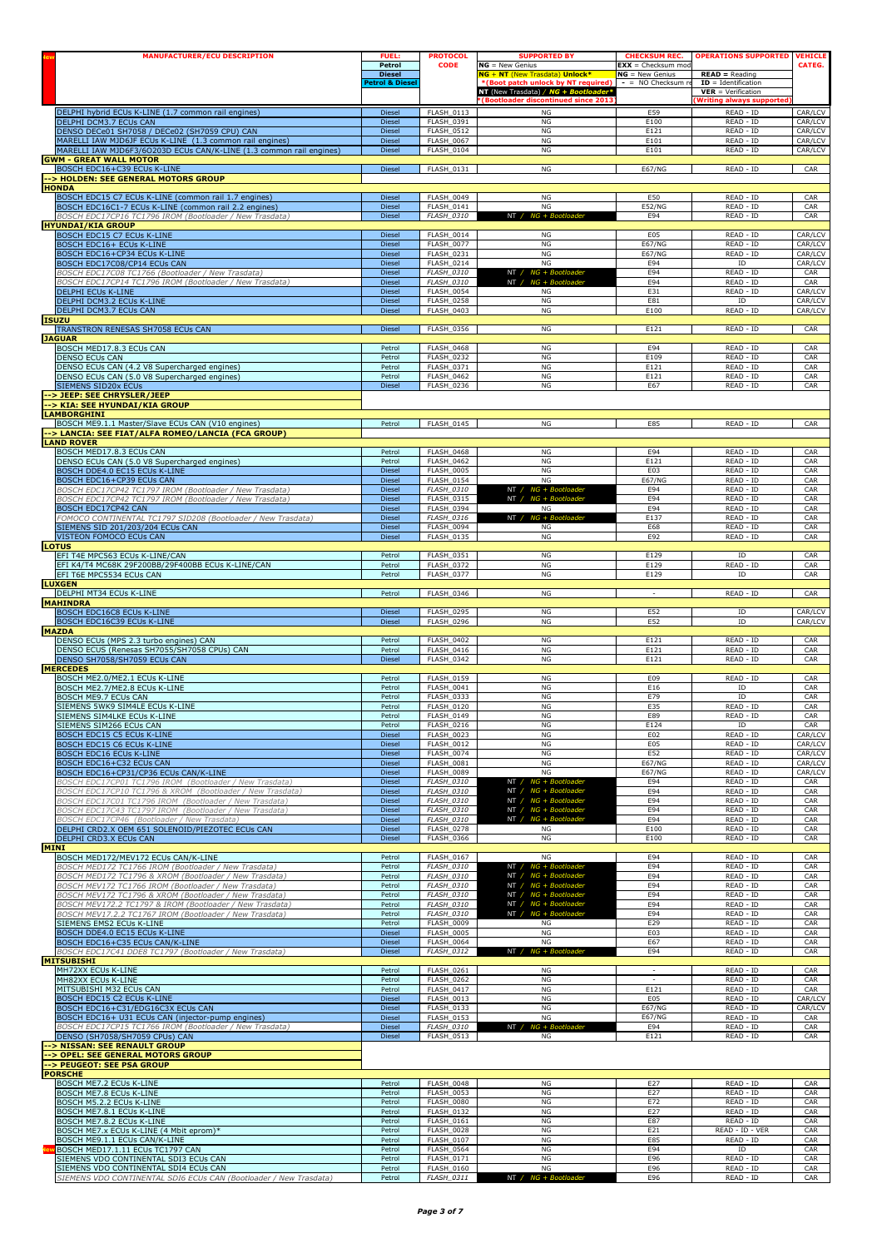| <b>MANUFACTURER/ECU DESCRIPTION</b>                                                                                 | <b>FUEL:</b><br>Petrol                     | <b>PROTOCOL</b><br><b>CODE</b>         | <b>SUPPORTED BY</b><br>$NG = New Genius$                                                                      | <b>CHECKSUM REC.</b><br>$EXX =$ Checksum mod | <b>OPERATIONS SUPPORTED</b>                                       | <b>VEHICLE</b><br>CATEG. |
|---------------------------------------------------------------------------------------------------------------------|--------------------------------------------|----------------------------------------|---------------------------------------------------------------------------------------------------------------|----------------------------------------------|-------------------------------------------------------------------|--------------------------|
|                                                                                                                     | <b>Diesel</b><br><b>Petrol &amp; Diese</b> |                                        | <b>NG + NT</b> (New Trasdata) Unlock*<br>*(Boot patch unlock by NT required)<br>NT (New Trasdata) / $NG + Bo$ | $NG = New Genius$<br>$-$ = NO Checksum $n$   | $READ = Reading$<br>$ID = Identification$<br>$VER = Verification$ |                          |
| DELPHI hybrid ECUs K-LINE (1.7 common rail engines)<br>DELPHI DCM3.7 ECUs CAN                                       | Diesel<br>Diesel                           | <b>FLASH 0113</b><br>FLASH_0391        | <b>(Bootloader discontinued since 2013</b><br>NG<br>NG                                                        | E59<br>E100                                  | <b>Writing always supported</b><br>READ - ID<br>READ - ID         | CAR/LCV<br>CAR/LCV       |
| DENSO DECe01 SH7058 / DECe02 (SH7059 CPU) CAN<br>MARELLI IAW MJD6JF ECUs K-LINE (1.3 common rail engines)           | Diesel<br><b>Diesel</b>                    | FLASH 0512<br><b>FLASH_0067</b>        | NG<br>NG                                                                                                      | E121<br>E101                                 | READ - ID<br>READ - ID                                            | CAR/LCV<br>CAR/LCV       |
| MARELLI IAW MJD6F3/6O203D ECUs CAN/K-LINE (1.3 common rail engines)<br><b>GWM - GREAT WALL MOTOR</b>                | Diesel                                     | <b>FLASH 0104</b>                      | NG                                                                                                            | E101                                         | READ - ID                                                         | CAR/LCV                  |
| BOSCH EDC16+C39 ECUs K-LINE<br>--> HOLDEN: SEE GENERAL MOTORS GROUP                                                 | Diesel                                     | FLASH_0131                             | NG                                                                                                            | E67/NG                                       | READ - ID                                                         | CAR                      |
| <b>HONDA</b><br>BOSCH EDC15 C7 ECUs K-LINE (common rail 1.7 engines)                                                | Diesel                                     | FLASH_0049                             | NG                                                                                                            | E50                                          | READ - ID                                                         | CAR                      |
| BOSCH EDC16C1-7 ECUs K-LINE (common rail 2.2 engines)<br>BOSCH EDC17CP16 TC1796 IROM (Bootloader / New Trasdata)    | Diesel<br>Diesel                           | FLASH_0141<br><b>FLASH_0310</b>        | NG<br>NT / NG + Bootloader                                                                                    | <b>E52/NG</b><br>E94                         | READ - ID<br>READ - ID                                            | CAR<br>CAR               |
| <b>HYUNDAI/KIA GROUP</b><br>BOSCH EDC15 C7 ECUs K-LINE                                                              | Diesel                                     | FLASH_0014                             | NG                                                                                                            | E05                                          | READ - ID                                                         | CAR/LCV                  |
| BOSCH EDC16+ ECUs K-LINE<br>BOSCH EDC16+CP34 ECUs K-LINE                                                            | Diesel<br>Diesel                           | <b>FLASH_0077</b><br>FLASH_0231        | NG<br>NG                                                                                                      | <b>E67/NG</b><br><b>E67/NG</b>               | READ - ID<br>READ - ID                                            | CAR/LCV<br>CAR/LCV       |
| BOSCH EDC17C08/CP14 ECUs CAN                                                                                        | Diesel                                     | <b>FLASH_0214</b>                      | NG                                                                                                            | E94                                          | ID                                                                | CAR/LCV                  |
| BOSCH EDC17C08 TC1766 (Bootloader / New Trasdata<br>BOSCH EDC17CP14 TC1796 IROM (Bootloader / New Trasdata)         | Diesel<br>Diesel                           | FLASH_0310<br><b>FLASH_0310</b>        | NT / $NG + Boc$<br>NT / NG + Bootloader                                                                       | E94<br>E94                                   | READ - ID<br>READ - ID                                            | CAR<br>CAR               |
| <b>DELPHI ECUS K-LINE</b><br>DELPHI DCM3.2 ECUs K-LINE                                                              | Diesel<br><b>Diesel</b>                    | <b>FLASH_0054</b><br><b>FLASH_0258</b> | ΝG<br>NG                                                                                                      | E31<br>E81                                   | READ - ID<br>ID                                                   | CAR/LCV<br>CAR/LCV       |
| DELPHI DCM3.7 ECUs CAN<br><b>ISUZU</b>                                                                              | Diesel                                     | <b>FLASH 0403</b>                      | NG                                                                                                            | E100                                         | READ - ID                                                         | CAR/LCV                  |
| TRANSTRON RENESAS SH7058 ECUs CAN<br><b>JAGUAR</b>                                                                  | Diesel                                     | <b>FLASH_0356</b>                      | ΝG                                                                                                            | E121                                         | READ - ID                                                         | CAR                      |
| BOSCH MED17.8.3 ECUs CAN<br><b>DENSO ECUS CAN</b>                                                                   | Petrol<br>Petrol                           | <b>FLASH 0468</b><br>FLASH_0232        | NG<br>$_{\rm NG}$                                                                                             | E94<br>E109                                  | READ - ID<br>READ - ID                                            | CAR<br>CAR               |
| DENSO ECUs CAN (4.2 V8 Supercharged engines)<br>DENSO ECUs CAN (5.0 V8 Supercharged engines)                        | Petrol<br>Petrol                           | FLASH_0371<br><b>FLASH_0462</b>        | NG<br>NG                                                                                                      | E121<br>E121                                 | READ - ID<br>READ - ID                                            | CAR<br>CAR               |
| SIEMENS SID20x ECUs<br>--> JEEP: SEE CHRYSLER/JEEP                                                                  | Diesel                                     | <b>FLASH 0236</b>                      | NG                                                                                                            | E67                                          | READ - ID                                                         | CAR                      |
| --> KIA: SEE HYUNDAI/KIA GROUP                                                                                      |                                            |                                        |                                                                                                               |                                              |                                                                   |                          |
| <b>LAMBORGHINI</b><br>BOSCH ME9.1.1 Master/Slave ECUs CAN (V10 engines)                                             | Petrol                                     | <b>FLASH 0145</b>                      | NG                                                                                                            | E85                                          | READ - ID                                                         | CAR                      |
| -> LANCIA: SEE FIAT/ALFA ROMEO/LANCIA (FCA GROUP)<br><b>LAND ROVER</b>                                              |                                            |                                        |                                                                                                               |                                              |                                                                   |                          |
| BOSCH MED17.8.3 ECUs CAN<br>DENSO ECUs CAN (5.0 V8 Supercharged engines)                                            | Petrol<br>Petrol                           | <b>FLASH 0468</b><br><b>FLASH 0462</b> | NG<br>NG                                                                                                      | E94<br>E121                                  | READ - ID<br>READ - ID                                            | CAR<br>CAR               |
| BOSCH DDE4.0 EC15 ECUs K-LINE<br>BOSCH EDC16+CP39 ECUs CAN                                                          | Diesel<br>Diesel                           | <b>FLASH_0005</b><br>FLASH_0154        | NG<br>NG                                                                                                      | E03<br>E67/NG                                | READ - ID<br>READ - ID                                            | CAR<br>CAR               |
| BOSCH EDC17CP42 TC1797 IROM (Bootloader / New Trasdata)<br>BOSCH EDC17CP42 TC1797 IROM (Bootloader / New Trasdata)  | Diesel<br>Diesel                           | <b>FLASH_0310</b><br><b>FLASH_0315</b> | NT / NG + Bootloader<br>NT / NG + Bootloader                                                                  | E94<br>E94                                   | READ - ID<br>READ - ID                                            | CAR<br>CAR               |
| BOSCH EDC17CP42 CAN<br>FOMOCO CONTINENTAL TC1797 SID208 (Bootloader / New Trasdata)                                 | Diesel<br>Diesel                           | <b>FLASH_0394</b><br>FLASH_0316        | NG<br>NG + Bootloader<br>NT /                                                                                 | E94<br>E137                                  | READ - ID<br>READ - ID                                            | CAR<br>CAR               |
| SIEMENS SID 201/203/204 ECUs CAN<br>VISTEON FOMOCO ECUS CAN                                                         | Diesel<br>Diesel                           | <b>FLASH_0094</b><br><b>FLASH 0135</b> | ΝG<br>NG                                                                                                      | E68<br>E92                                   | READ - ID<br>READ - ID                                            | CAR<br>CAR               |
| <b>LOTUS</b>                                                                                                        |                                            | FLASH_0351                             | NG                                                                                                            | E129                                         | ID                                                                | CAR                      |
| EFI T4E MPC563 ECUs K-LINE/CAN<br>EFI K4/T4 MC68K 29F200BB/29F400BB ECUs K-LINE/CAN                                 | Petrol<br>Petrol                           | FLASH_0372                             | NG                                                                                                            | E129                                         | READ - ID                                                         | CAR                      |
| EFI T6E MPC5534 ECUs CAN<br><b>LUXGEN</b>                                                                           | Petrol                                     | <b>FLASH_0377</b>                      | NG                                                                                                            | E129                                         | ID                                                                | CAR                      |
| DELPHI MT34 ECUs K-LINE<br><b>MAHINDRA</b>                                                                          | Petrol                                     | FLASH_0346                             | NG                                                                                                            | $\overline{\phantom{a}}$                     | READ - ID                                                         | CAR                      |
| <b>BOSCH EDC16C8 ECUs K-LINE</b><br>BOSCH EDC16C39 ECUs K-LINE                                                      | Diesel<br>Diesel                           | <b>FLASH 0295</b><br><b>FLASH 0296</b> | NG<br>NG                                                                                                      | E52<br>E52                                   | ID<br>ID                                                          | CAR/LCV<br>CAR/LCV       |
| <b>MAZDA</b><br>DENSO ECUs (MPS 2.3 turbo engines) CAN                                                              | Petrol                                     | <b>FLASH_0402</b>                      | NG                                                                                                            | E121                                         | READ - ID                                                         | CAR                      |
| DENSO ECUS (Renesas SH7055/SH7058 CPUs) CAN<br>DENSO SH7058/SH7059 ECUs CAN                                         | Petrol<br>Diesel                           | <b>FLASH_0416</b><br><b>FLASH 0342</b> | NG<br>NG                                                                                                      | E121<br>E121                                 | READ - ID<br>READ - ID                                            | CAR<br>CAR               |
| <b>MERCEDES</b><br>BOSCH ME2.0/ME2.1 ECUs K-LINE                                                                    | Petrol                                     | FLASH_0159                             | NG                                                                                                            | E09                                          | READ - ID                                                         | CAR                      |
| BOSCH ME2.7/ME2.8 ECUs K-LINE<br>BOSCH ME9.7 ECUs CAN                                                               | Petrol<br>Petrol                           | FLASH_0041<br><b>FLASH 0333</b>        | NG<br>NG                                                                                                      | E16<br>E79                                   | ID<br>ID                                                          | CAR<br>CAR               |
| SIEMENS 5WK9 SIM4LE ECUs K-LINE                                                                                     | Petrol                                     | FLASH_0120                             | NG<br>NG                                                                                                      | E35                                          | READ - ID                                                         | CAR                      |
| ISIEMENS SIM4LKE ECUs K-LINE<br>SIEMENS SIM266 ECUs CAN                                                             | Petrol<br>Petrol                           | FLASH 0149<br>FLASH_0216               | NG                                                                                                            | E89<br>E124                                  | READ - ID<br>ID                                                   | CAR<br>CAR               |
| <b>BOSCH EDC15 C5 ECUs K-LINE</b><br>BOSCH EDC15 C6 ECUs K-LINE                                                     | Diesel<br>Diesel                           | <b>FLASH 0023</b><br>FLASH_0012        | NG<br>NG                                                                                                      | E02<br>E05                                   | READ - ID<br>READ - ID                                            | CAR/LCV<br>CAR/LCV       |
| <b>BOSCH EDC16 ECUs K-LINE</b><br>BOSCH EDC16+C32 ECUs CAN                                                          | Diesel<br>Diesel                           | <b>FLASH_0074</b><br>FLASH_0081        | NG<br>NG                                                                                                      | E52<br><b>E67/NG</b>                         | READ - ID<br>READ - ID                                            | CAR/LCV<br>CAR/LCV       |
| BOSCH EDC16+CP31/CP36 ECUs CAN/K-LINE<br>3OSCH EDC17CP01 TC1796 IROM (Bootloader / New Trasdata)                    | Diesel<br>Diesel                           | <b>FLASH_0089</b><br><b>FLASH_0310</b> | NG<br>$NT / NG + Bo$                                                                                          | <b>E67/NG</b><br>E94                         | READ - ID<br>READ - ID                                            | CAR/LCV<br>CAR           |
| BOSCH EDC17CP10 TC1796 & XROM (Bootloader / New Trasdata)<br>BOSCH EDC17C01 TC1796 IROM (Bootloader / New Trasdata) | Diesel<br>Diesel                           | <b>FLASH_0310</b><br><b>FLASH_0310</b> | NT / NG + Bootloader<br>NT / NG + Bootloader                                                                  | E94<br>E94                                   | READ - ID<br>READ - ID                                            | CAR<br>CAR               |
| BOSCH EDC17C43 TC1797 IROM (Bootloader / New Trasdata)<br>BOSCH FDC17CP46 (Bootloader / New Trasdata                | Diesel<br>Diesel                           | <b>FLASH 0310</b><br>FLASH_0310        | NT / NG + Bootloader<br>NT / NG + Bootloader                                                                  | E94<br>E94                                   | READ - ID<br>READ - ID                                            | CAR<br>CAR               |
| DELPHI CRD2.X OEM 651 SOLENOID/PIEZOTEC ECUs CAN<br>DELPHI CRD3.X ECUs CAN                                          | Diesel<br>Diesel                           | <b>FLASH_0278</b><br><b>FLASH 0366</b> | NG<br>$_{\rm NG}$                                                                                             | E100<br>E100                                 | READ - ID<br>READ - ID                                            | CAR<br>CAR               |
| <b>MINI</b><br>BOSCH MED172/MEV172 ECUs CAN/K-LINE                                                                  | Petrol                                     | <b>FLASH 0167</b>                      | NG                                                                                                            | E94                                          | READ - ID                                                         | CAR                      |
| BOSCH MED172 TC1766 IROM (Bootloader / New Trasdata)<br>BOSCH MED172 TC1796 & XROM (Bootloader / New Trasdata)      | Petrol                                     | FLASH_0310<br><b>FLASH 0310</b>        | NT / NG + Bootloader<br>$NT / NG + Boothoader$                                                                | E94<br>E94                                   | READ - ID<br>READ - ID                                            | CAR<br>CAR               |
| BOSCH MEV172 TC1766 IROM (Bootloader / New Trasdata)                                                                | Petrol<br>Petrol                           | <b>FLASH_0310</b><br><b>FLASH 0310</b> | NT / NG + Bootloader<br>NT / NG + Bootloader                                                                  | E94                                          | READ - ID<br>READ - ID                                            | CAR                      |
| BOSCH MEV172 TC1796 & XROM (Bootloader / New Trasdata,<br>BOSCH MEV172.2 TC1797 & IROM (Bootloader / New Trasdata)  | Petrol<br>Petrol                           | <b>FLASH 0310</b>                      | NT / $NG + Boothoader$                                                                                        | E94<br>E94                                   | READ - ID                                                         | CAR<br>CAR               |
| BOSCH MEV17.2.2 TC1767 IROM (Bootloader / New Trasdata)<br>SIEMENS EMS2 ECUs K-LINE                                 | Petrol<br>Petrol                           | FLASH_0310<br><b>FLASH_0009</b>        | NT / NG + Bootloader<br>NG                                                                                    | E94<br>E29                                   | READ - ID<br>READ - ID                                            | CAR<br>CAR               |
| BOSCH DDE4.0 EC15 ECUs K-LINE<br>BOSCH EDC16+C35 ECUs CAN/K-LINE                                                    | Diesel<br>Diesel                           | <b>FLASH 0005</b><br>FLASH_0064        | NG<br>NG                                                                                                      | E03<br>E67                                   | READ - ID<br>READ - ID                                            | CAR<br>CAR               |
| BOSCH EDC17C41 DDE8 TC1797 (Bootloader / New Trasdata)<br><b>MITSUBISHI</b>                                         | Diesel                                     | <b>FLASH_0312</b>                      | NT /<br>$NG + Boc$<br>ıtloadeı                                                                                | E94                                          | READ - ID                                                         | CAR                      |
| MH72XX ECUs K-LINE<br>MH82XX ECUs K-LINE                                                                            | Petrol<br>Petrol                           | <b>FLASH 0261</b><br><b>FLASH_0262</b> | NG<br>$_{\rm NG}$                                                                                             | $\sim$                                       | READ - ID<br>READ - ID                                            | CAR<br>CAR               |
| MITSUBISHI M32 ECUs CAN<br>BOSCH EDC15 C2 ECUs K-LINE                                                               | Petrol<br>Diesel                           | <b>FLASH_0417</b><br><b>FLASH_0013</b> | NG<br>NG                                                                                                      | E121<br>E05                                  | READ - ID<br>READ - ID                                            | CAR<br>CAR/LCV           |
| BOSCH EDC16+C31/EDG16C3X ECUs CAN                                                                                   | Diesel                                     | <b>FLASH 0133</b>                      | NG                                                                                                            | <b>E67/NG</b>                                | READ - ID                                                         | CAR/LCV                  |
| BOSCH EDC16+ U31 ECUs CAN (injector-pump engines)<br>BOSCH EDC17CP15 TC1766 IROM (Bootloader / New Trasdata)        | Diesel<br>Diesel                           | FLASH_0153<br><b>FLASH_0310</b>        | NG<br>NT /<br>$NG + B$                                                                                        | <b>E67/NG</b><br>E94                         | READ - ID<br>READ - ID                                            | CAR<br>CAR               |
| DENSO (SH7058/SH7059 CPUs) CAN<br>--> NISSAN: SEE RENAULT GROUP                                                     | Diesel                                     | <b>FLASH_0513</b>                      | NG                                                                                                            | E121                                         | READ - ID                                                         | CAR                      |
| --> OPEL: SEE GENERAL MOTORS GROUP<br>--> PEUGEOT: SEE PSA GROUP                                                    |                                            |                                        |                                                                                                               |                                              |                                                                   |                          |
| <b>PORSCHE</b><br>BOSCH ME7.2 ECUs K-LINE                                                                           | Petrol                                     | <b>FLASH_0048</b>                      | ΝG                                                                                                            | E27                                          | READ - ID                                                         | CAR                      |
| BOSCH ME7.8 ECUs K-LINE<br>BOSCH M5.2.2 ECUs K-LINE                                                                 | Petrol<br>Petrol                           | <b>FLASH 0053</b><br><b>FLASH_0080</b> | NG<br>NG                                                                                                      | E27<br>E72                                   | READ - ID<br>READ - ID                                            | CAR<br>CAR               |
| BOSCH ME7.8.1 ECUs K-LINE<br>BOSCH ME7.8.2 ECUs K-LINE                                                              | Petrol<br>Petrol                           | <b>FLASH_0132</b><br>FLASH_0161        | $_{\rm NG}$<br>NG                                                                                             | E27<br>E87                                   | READ - ID<br>READ - ID                                            | CAR<br>CAR               |
| BOSCH ME7.x ECUs K-LINE (4 Mbit eprom)*<br>BOSCH ME9.1.1 ECUs CAN/K-LINE                                            | Petrol<br>Petrol                           | <b>FLASH 0028</b><br>FLASH_0107        | NG<br>$_{\rm NG}$                                                                                             | E21<br>E85                                   | READ - ID - VER<br>READ - ID                                      | CAR<br>CAR               |
| BOSCH MED17.1.11 ECUs TC1797 CAN<br>SIEMENS VDO CONTINENTAL SDI3 ECUs CAN                                           | Petrol<br>Petrol                           | <b>FLASH_0564</b><br>FLASH_0171        | NG<br>NG                                                                                                      | E94<br>E96                                   | ID<br>READ - ID                                                   | CAR<br>CAR               |
| SIEMENS VDO CONTINENTAL SDI4 ECUs CAN<br>SIEMENS VDO CONTINENTAL SDI6 ECUs CAN (Bootloader / New Trasdata)          | Petrol<br>Petrol                           | <b>FLASH 0160</b><br><b>FLASH_0311</b> | NG<br>NT / NG + Bootloade                                                                                     | E96<br>E96                                   | READ - ID<br>READ - ID                                            | CAR<br>CAR               |
|                                                                                                                     |                                            |                                        |                                                                                                               |                                              |                                                                   |                          |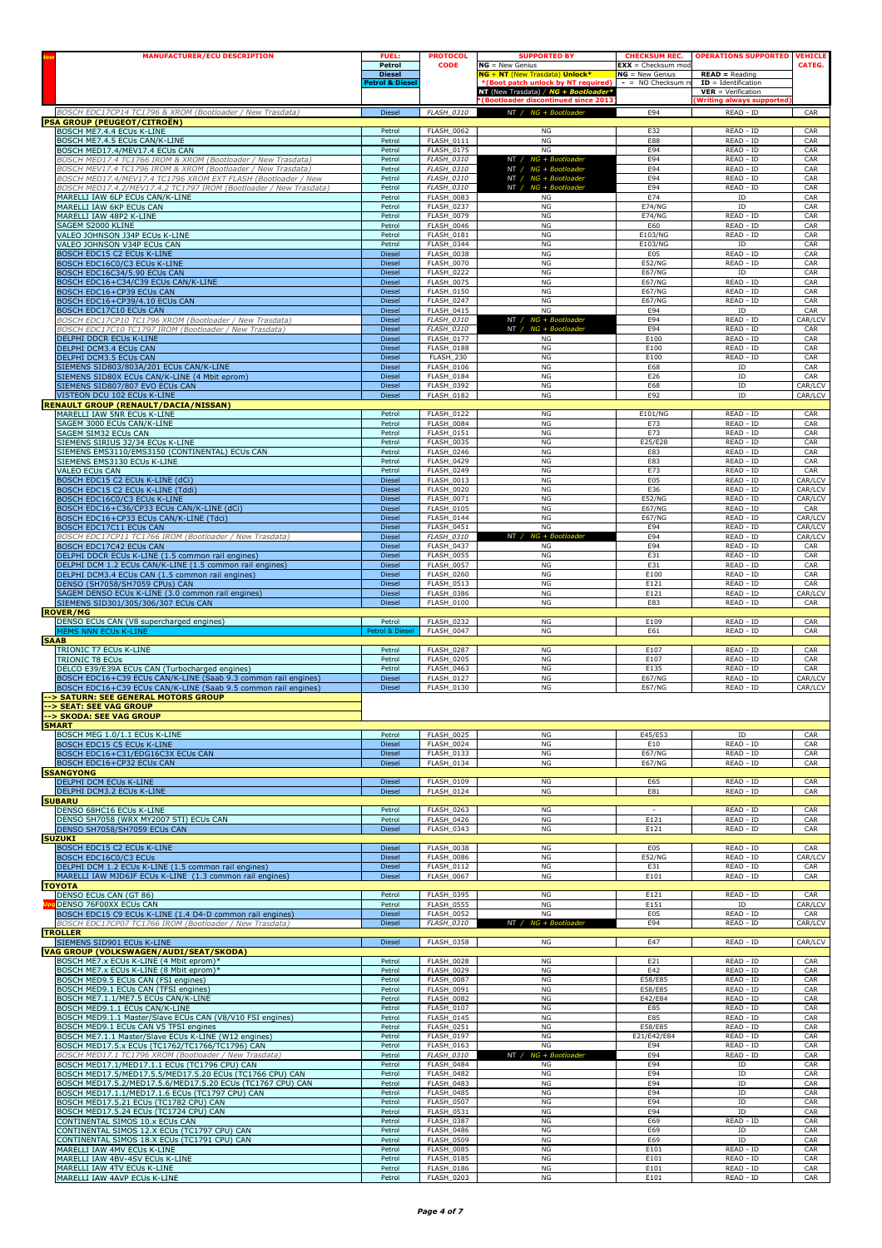| <b>MANUFACTURER/ECU DESCRIPTION</b>                                                                                           | <b>FUEL:</b>                     | <b>PROTOCOL</b>                        | <b>SUPPORTED BY</b>                                                   | <b>CHECKSUM REC.</b>                       | <b>OPERATIONS SUPPORTED</b>                  | <b>VEHICLE</b> |
|-------------------------------------------------------------------------------------------------------------------------------|----------------------------------|----------------------------------------|-----------------------------------------------------------------------|--------------------------------------------|----------------------------------------------|----------------|
|                                                                                                                               | Petrol                           | <b>CODE</b>                            | $NG = New Genius$                                                     | $EXX =$ Checksum mod                       |                                              | CATEG.         |
|                                                                                                                               | <b>Diesel</b><br>Petrol & Diesel |                                        | NG + NT (New Trasdata) Unlock*<br>*(Boot patch unlock by NT required) | $NG = New Genius$<br>$-$ = NO Checksum $n$ | $READ = Reading$<br>$ID = Identification$    |                |
|                                                                                                                               |                                  |                                        | NT (New Trasdata) / NG + Bootloader*                                  |                                            | $VER = Verification$                         |                |
| BOSCH EDC17CP14 TC1796 & XROM (Bootloader / New Trasdata)                                                                     | Diesel                           | FLASH_0310                             | *(Bootloader discontinued since 2013<br>$NT / NG + Boothoade$         | E94                                        | <b>Writing always supported</b><br>READ - ID | CAR            |
| <b>PSA GROUP (PEUGEOT/CITROËN)</b>                                                                                            |                                  |                                        |                                                                       |                                            |                                              |                |
| BOSCH ME7.4.4 ECUs K-LINE<br>BOSCH ME7.4.5 ECUs CAN/K-LINE                                                                    | Petrol                           | <b>FLASH 0062</b>                      | NG                                                                    | E32                                        | READ - ID                                    | CAR            |
| BOSCH MED17.4/MEV17.4 ECUs CAN                                                                                                | Petrol<br>Petrol                 | FLASH_0111<br>FLASH_0175               | NG<br>NG                                                              | E88<br>E94                                 | READ - ID<br>READ - ID                       | CAR<br>CAR     |
| BOSCH MED17.4 TC1766 IROM & XROM (Bootloader / New Trasdata)                                                                  | Petrol                           | <b>FLASH 0310</b>                      | NT / NG + Bootloader                                                  | E94                                        | READ - ID                                    | CAR            |
| BOSCH MEV17.4 TC1796 IROM & XROM (Bootloader / New Trasdata)<br>BOSCH MED17.4/MEV17.4 TC1796 XROM EXT FLASH (Bootloader / New | Petrol<br>Petrol                 | FLASH_0310<br><b>FLASH_0310</b>        | NT / NG + Bootloader<br>NT / NG + Bootloader                          | E94<br>E94                                 | READ - ID<br>READ - ID                       | CAR<br>CAR     |
| BOSCH MED17.4.2/MEV17.4.2 TC1797 IROM (Bootloader / New Trasdata)                                                             | Petrol                           | FLASH_0310                             | NT / NG + Bootloader                                                  | E94                                        | READ - ID                                    | CAR            |
| MARELLI IAW 6LP ECUs CAN/K-LINE                                                                                               | Petrol                           | <b>FLASH 0083</b>                      | NG                                                                    | E74                                        | ID                                           | CAR            |
| MARELLI IAW 6KP ECUs CAN                                                                                                      | Petrol                           | FLASH_0237                             | NG                                                                    | <b>E74/NG</b>                              | ID                                           | CAR            |
| MARELLI IAW 48P2 K-LINE<br>SAGEM S2000 KLINE                                                                                  | Petrol<br>Petrol                 | <b>FLASH_0079</b><br><b>FLASH_0046</b> | NG<br>NG                                                              | <b>E74/NG</b><br>E60                       | READ - ID<br>READ - ID                       | CAR<br>CAR     |
| VALEO JOHNSON J34P ECUs K-LINE                                                                                                | Petrol                           | <b>FLASH 0181</b>                      | NG                                                                    | E103/NG                                    | READ - ID                                    | CAR            |
| VALEO JOHNSON V34P ECUs CAN                                                                                                   | Petrol                           | FLASH_0344<br><b>FLASH 0038</b>        | NG                                                                    | E103/NG                                    | ID                                           | CAR            |
| BOSCH EDC15 C2 ECUs K-LINE<br>BOSCH EDC16C0/C3 ECUs K-LINE                                                                    | Diesel<br><b>Diesel</b>          | <b>FLASH_0070</b>                      | $_{\rm NG}$<br>NG                                                     | E05<br><b>E52/NG</b>                       | READ - ID<br>READ - ID                       | CAR<br>CAR     |
| BOSCH EDC16C34/5.90 ECUs CAN                                                                                                  | <b>Diesel</b>                    | <b>FLASH 0222</b>                      | NG                                                                    | <b>E67/NG</b>                              | ID                                           | CAR            |
| BOSCH EDC16+C34/C39 ECUs CAN/K-LINE                                                                                           | <b>Diesel</b>                    | <b>FLASH 0075</b><br>FLASH_0150        | NG<br>NG                                                              | <b>E67/NG</b><br><b>E67/NG</b>             | READ - ID<br>READ - ID                       | CAR<br>CAR     |
| BOSCH EDC16+CP39 ECUs CAN<br>BOSCH EDC16+CP39/4.10 ECUs CAN                                                                   | Diesel<br>Diesel                 | FLASH_0247                             | NG                                                                    | E67/NG                                     | READ - ID                                    | CAR            |
| BOSCH EDC17C10 ECUs CAN                                                                                                       | Diesel                           | <b>FLASH_0415</b>                      | NG                                                                    | E94                                        | ID                                           | CAR            |
| 3OSCH EDC17CP10 TC1796 XROM (Bootloader / New Trasdata)<br>BOSCH EDC17C10 TC1797 IROM (Bootloader / New Trasdata)             | <b>Diesel</b><br><b>Diesel</b>   | FLASH_0310<br>FLASH_0310               | NT / NG + Bootloader<br>NT / NG + Bootloader                          | E94<br>E94                                 | READ - ID<br>READ - ID                       | CAR/LCV<br>CAR |
| DELPHI DDCR ECUs K-LINE                                                                                                       | Diesel                           | <b>FLASH_0177</b>                      | ΝG                                                                    | E100                                       | READ - ID                                    | CAR            |
| DELPHI DCM3.4 ECUs CAN                                                                                                        | <b>Diesel</b>                    | <b>FLASH_0188</b>                      | NG                                                                    | E100                                       | READ - ID                                    | CAR            |
| DELPHI DCM3.5 ECUs CAN<br>SIEMENS SID803/803A/201 ECUs CAN/K-LINE                                                             | <b>Diesel</b><br>Diesel          | FLASH 230<br><b>FLASH_0106</b>         | NG<br>NG                                                              | E100<br>E68                                | READ - ID<br>ID                              | CAR<br>CAR     |
| SIEMENS SID80X ECUs CAN/K-LINE (4 Mbit eprom)                                                                                 | Diesel                           | <b>FLASH_0184</b>                      | NG                                                                    | E26                                        | ID                                           | CAR            |
| SIEMENS SID807/807 EVO ECUs CAN                                                                                               | Diesel                           | FLASH_0392                             | NG                                                                    | E68                                        | ID                                           | CAR/LCV        |
| VISTEON DCU 102 ECUs K-LINE<br><b>RENAULT GROUP (RENAULT/DACIA/NISSAN)</b>                                                    | <b>Diesel</b>                    | <b>FLASH 0182</b>                      | NG                                                                    | E92                                        | ID                                           | CAR/LCV        |
| MARELLI IAW 5NR ECUs K-LINE                                                                                                   | Petrol                           | <b>FLASH_0122</b>                      | NG                                                                    | E101/NG                                    | READ - ID                                    | CAR            |
| SAGEM 3000 ECUs CAN/K-LINE                                                                                                    | Petrol                           | <b>FLASH_0084</b>                      | NG                                                                    | E73                                        | READ - ID                                    | CAR            |
| SAGEM SIM32 ECUs CAN<br>SIEMENS SIRIUS 32/34 ECUs K-LINE                                                                      | Petrol<br>Petrol                 | <b>FLASH 0151</b><br>FLASH_0035        | NG<br>NG                                                              | E73<br>E25/E28                             | READ - ID<br>READ - ID                       | CAR<br>CAR     |
| SIEMENS EMS3110/EMS3150 (CONTINENTAL) ECUs CAN                                                                                | Petrol                           | FLASH_0246                             | NG                                                                    | E83                                        | READ - ID                                    | CAR            |
| SIEMENS EMS3130 ECUs K-LINE                                                                                                   | Petrol                           | <b>FLASH_0429</b>                      | NG                                                                    | E83                                        | READ - ID                                    | CAR            |
| VALEO ECUs CAN<br>BOSCH EDC15 C2 ECUs K-LINE (dCi)                                                                            | Petrol<br><b>Diesel</b>          | <b>FLASH 0249</b><br>FLASH_0013        | NG<br>NG                                                              | E73<br>E05                                 | READ - ID<br>READ - ID                       | CAR<br>CAR/LCV |
| BOSCH EDC15 C2 ECUs K-LINE (Tddi)                                                                                             | Diesel                           | <b>FLASH_0020</b>                      | NG                                                                    | E36                                        | READ - ID                                    | CAR/LCV        |
| BOSCH EDC16C0/C3 ECUs K-LINE                                                                                                  | <b>Diesel</b>                    | FLASH_0071                             | NG                                                                    | <b>E52/NG</b>                              | READ - ID                                    | CAR/LCV        |
| BOSCH EDC16+C36/CP33 ECUs CAN/K-LINE (dCi)<br>BOSCH EDC16+CP33 ECUs CAN/K-LINE (Tdci)                                         | <b>Diesel</b><br>Diesel          | <b>FLASH 0105</b><br>FLASH_0144        | NG<br>NG                                                              | <b>E67/NG</b><br><b>E67/NG</b>             | READ - ID<br>READ - ID                       | CAR<br>CAR/LCV |
| BOSCH EDC17C11 ECUs CAN                                                                                                       | Diesel                           | <b>FLASH_0451</b>                      | NG                                                                    | E94                                        | READ - ID                                    | CAR/LCV        |
| BOSCH EDC17CP11 TC1766 IROM (Bootloader / New Trasdata)                                                                       | Diesel                           | <b>FLASH_0310</b>                      | NT /<br>NG + Bo                                                       | E94                                        | READ - ID                                    | CAR/LCV        |
| BOSCH EDC17C42 ECUs CAN<br>DELPHI DDCR ECUs K-LINE (1.5 common rail engines)                                                  | <b>Diesel</b><br><b>Diesel</b>   | <b>FLASH_0437</b><br><b>FLASH 0055</b> | NG<br>NG                                                              | E94<br>E31                                 | READ - ID<br>READ - ID                       | CAR<br>CAR     |
| DELPHI DCM 1.2 ECUs CAN/K-LINE (1.5 common rail engines)                                                                      | <b>Diesel</b>                    | <b>FLASH_0057</b>                      | NG                                                                    | E31                                        | READ - ID                                    | CAR            |
| DELPHI DCM3.4 ECUs CAN (1.5 common rail engines)                                                                              | Diesel<br><b>Diesel</b>          | <b>FLASH_0260</b>                      | $_{\rm NG}$                                                           | E100<br>E121                               | READ - ID                                    | CAR            |
| DENSO (SH7058/SH7059 CPUs) CAN<br>SAGEM DENSO ECUs K-LINE (3.0 common rail engines)                                           | <b>Diesel</b>                    | <b>FLASH_0513</b><br><b>FLASH 0386</b> | NG<br>NG                                                              | E121                                       | READ - ID<br>READ - ID                       | CAR<br>CAR/LCV |
| SIEMENS SID301/305/306/307 ECUs CAN                                                                                           | Diesel                           | FLASH_0100                             | $_{\rm NG}$                                                           | E83                                        | READ - ID                                    | CAR            |
| <b>ROVER/MG</b><br>DENSO ECUs CAN (V8 supercharged engines)                                                                   | Petrol                           | FLASH_0232                             | NG                                                                    | E109                                       | READ - ID                                    | CAR            |
| MEMS NNN ECUs K-LINE                                                                                                          | Petrol & Diesel                  | FLASH 0047                             | NG                                                                    | E61                                        | READ - ID                                    | CAR            |
| <b>SAAB</b>                                                                                                                   |                                  |                                        |                                                                       |                                            |                                              |                |
| TRIONIC T7 ECUs K-LINE<br><b>TRIONIC T8 ECUs</b>                                                                              | Petrol<br>Petrol                 | <b>FLASH_0287</b><br><b>FLASH_0205</b> | $_{\rm NG}$<br>ΝG                                                     | E107<br>E107                               | READ - ID<br>READ - ID                       | CAR<br>CAR     |
| DELCO E39/E39A ECUs CAN (Turbocharged engines)                                                                                | Petrol                           | <b>FLASH 0463</b>                      | NG                                                                    | E135                                       | READ - ID                                    | CAR            |
| BOSCH EDC16+C39 ECUs CAN/K-LINE (Saab 9.3 common rail engines)                                                                | Diesel                           | FLASH_0127                             | NG                                                                    | <b>E67/NG</b>                              | READ - ID                                    | CAR/LCV        |
| BOSCH EDC16+C39 ECUs CAN/K-LINE (Saab 9.5 common rail engines)<br>--> SATURN: SEE GENERAL MOTORS GROUP                        | Diesel                           | <b>FLASH_0130</b>                      | $_{\rm NG}$                                                           | E67/NG                                     | READ - ID                                    | CAR/LCV        |
| --> SEAT: SEE VAG GROUP                                                                                                       |                                  |                                        |                                                                       |                                            |                                              |                |
| --> SKODA: SEE VAG GROUP                                                                                                      |                                  |                                        |                                                                       |                                            |                                              |                |
| <b>SMART</b><br>BOSCH MEG 1.0/1.1 ECUs K-LINE                                                                                 | Petrol                           | <b>FLASH_0025</b>                      | NG                                                                    | E45/E53                                    | ID                                           | CAR            |
| BOSCH EDC15 C5 ECUs K-LINE                                                                                                    | <b>Diesel</b>                    | <b>FLASH 0024</b>                      | NG                                                                    | E10                                        | READ - ID                                    | CAR            |
| BOSCH EDC16+C31/EDG16C3X ECUs CAN                                                                                             | Diesel<br>Diesel                 | <b>FLASH 0133</b><br>FLASH_0134        | NG<br>$_{\rm NG}$                                                     | <b>E67/NG</b><br><b>E67/NG</b>             | READ - ID<br>READ - ID                       | CAR<br>CAR     |
| BOSCH EDC16+CP32 ECUs CAN<br><b>SSANGYONG</b>                                                                                 |                                  |                                        |                                                                       |                                            |                                              |                |
| DELPHI DCM ECUs K-LINE                                                                                                        | Diesel                           | <b>FLASH 0109</b>                      | NG                                                                    | E65                                        | READ - ID                                    | CAR            |
| DELPHI DCM3.2 ECUs K-LINE<br><b>SUBARU</b>                                                                                    | Diesel                           | FLASH_0124                             | NG                                                                    | E81                                        | READ - ID                                    | CAR            |
| DENSO 68HC16 ECUs K-LINE                                                                                                      | Petrol                           | <b>FLASH 0263</b>                      | NG                                                                    | $\sim$                                     | READ - ID                                    | CAR            |
| DENSO SH7058 (WRX MY2007 STI) ECUs CAN                                                                                        | Petrol                           | FLASH 0426                             | NG                                                                    | E121                                       | READ - ID                                    | CAR            |
| DENSO SH7058/SH7059 ECUs CAN<br><b>SUZUKI</b>                                                                                 | Diesel                           | FLASH 0343                             | NG                                                                    | E121                                       | READ - ID                                    | CAR            |
| BOSCH EDC15 C2 ECUs K-LINE                                                                                                    | Diesel                           | <b>FLASH_0038</b>                      | NG                                                                    | E <sub>05</sub>                            | READ - ID                                    | CAR            |
| BOSCH EDC16C0/C3 ECUs                                                                                                         | Diesel                           | <b>FLASH_0086</b>                      | NG                                                                    | <b>E52/NG</b>                              | READ - ID                                    | CAR/LCV        |
| DELPHI DCM 1.2 ECUs K-LINE (1.5 common rail engines)<br>MARELLI IAW MJD6JF ECUs K-LINE (1.3 common rail engines)              | <b>Diesel</b><br>Diesel          | <b>FLASH 0112</b><br>FLASH_0067        | NG<br>NG                                                              | E31<br>E101                                | READ - ID<br>READ - ID                       | CAR<br>CAR     |
| <b>TOYOTA</b>                                                                                                                 |                                  |                                        |                                                                       |                                            |                                              |                |
| DENSO ECUs CAN (GT 86)                                                                                                        | Petrol<br>Petrol                 | <b>FLASH 0395</b><br><b>FLASH 0555</b> | NG<br>NG                                                              | E121<br>E151                               | READ - ID<br>ID                              | CAR<br>CAR/LCV |
| DENSO 76F00XX ECUs CAN<br>BOSCH EDC15 C9 ECUs K-LINE (1.4 D4-D common rail engines)                                           | Diesel                           | <b>FLASH_0052</b>                      | NG                                                                    | E05                                        | READ - ID                                    | CAR            |
| BOSCH EDC17CP07 TC1766 IROM (Bootloader / New Trasdata)                                                                       | Diesel                           | <b>FLASH_0310</b>                      | NT /<br>$NG + Bo$                                                     | E94                                        | READ - ID                                    | CAR/LCV        |
| <b>TROLLER</b><br>SIEMENS SID901 ECUs K-LINE                                                                                  | Diesel                           | <b>FLASH 0358</b>                      | NG                                                                    | E47                                        | READ - ID                                    | CAR/LCV        |
| VAG GROUP (VOLKSWAGEN/AUDI/SEAT/SKODA)                                                                                        |                                  |                                        |                                                                       |                                            |                                              |                |
| BOSCH ME7.x ECUs K-LINE (4 Mbit eprom)*                                                                                       | Petrol                           | <b>FLASH_0028</b>                      | NG                                                                    | E21                                        | READ - ID                                    | CAR            |
| BOSCH ME7.x ECUs K-LINE (8 Mbit eprom)*<br>BOSCH MED9.5 ECUs CAN (FSI engines)                                                | Petrol<br>Petrol                 | <b>FLASH 0029</b><br><b>FLASH 0087</b> | NG<br>NG                                                              | E42<br>E58/E85                             | READ - ID<br>READ - ID                       | CAR<br>CAR     |
| BOSCH MED9.1 ECUs CAN (TFSI engines)                                                                                          | Petrol                           | FLASH_0091                             | NG                                                                    | E58/E85                                    | READ - ID                                    | CAR            |
| BOSCH ME7.1.1/ME7.5 ECUs CAN/K-LINE                                                                                           | Petrol                           | <b>FLASH_0082</b>                      | NG                                                                    | E42/E84                                    | READ - ID                                    | CAR            |
| BOSCH MED9.1.1 ECUs CAN/K-LINE<br>BOSCH MED9.1.1 Master/Slave ECUs CAN (V8/V10 FSI engines)                                   | Petrol<br>Petrol                 | FLASH_0107<br><b>FLASH 0145</b>        | NG<br>NG                                                              | E85<br>E85                                 | READ - ID<br>READ - ID                       | CAR<br>CAR     |
| BOSCH MED9.1 ECUs CAN V5 TFSI engines                                                                                         | Petrol                           | FLASH_0251                             | NG                                                                    | E58/E85                                    | READ - ID                                    | CAR            |
| BOSCH ME7.1.1 Master/Slave ECUs K-LINE (W12 engines)                                                                          | Petrol                           | <b>FLASH_0197</b>                      | NG                                                                    | E21/E42/E84                                | READ - ID                                    | CAR            |
| BOSCH MED17.5.x ECUs (TC1762/TC1766/TC1796) CAN<br>BOSCH MED17.1 TC1796 XROM (Bootloader / New Trasdata)                      | Petrol<br>Petrol                 | FLASH_0163<br>FLASH_0310               | NG<br>NT /<br>$NG + B$                                                | E94<br>E94                                 | READ - ID<br>READ - ID                       | CAR<br>CAR     |
| BOSCH MED17.1/MED17.1.1 ECUs (TC1796 CPU) CAN                                                                                 | Petrol                           | <b>FLASH_0484</b>                      | NG                                                                    | E94                                        | ID                                           | CAR            |
| BOSCH MED17.5/MED17.5.5/MED17.5.20 ECUs (TC1766 CPU) CAN                                                                      | Petrol                           | <b>FLASH_0482</b>                      | NG                                                                    | E94                                        | ID                                           | CAR            |
| BOSCH MED17.5.2/MED17.5.6/MED17.5.20 ECUs (TC1767 CPU) CAN<br>BOSCH MED17.1.1/MED17.1.6 ECUs (TC1797 CPU) CAN                 | Petrol<br>Petrol                 | <b>FLASH_0483</b><br><b>FLASH_0485</b> | NG<br>NG                                                              | E94<br>E94                                 | ID<br>ID                                     | CAR<br>CAR     |
| BOSCH MED17.5.21 ECUs (TC1782 CPU) CAN                                                                                        | Petrol                           | <b>FLASH 0507</b>                      | NG                                                                    | E94                                        | ID                                           | CAR            |
| BOSCH MED17.5.24 ECUs (TC1724 CPU) CAN                                                                                        | Petrol                           | FLASH_0531                             | NG                                                                    | E94                                        | ID                                           | CAR            |
| CONTINENTAL SIMOS 10.x ECUs CAN<br>CONTINENTAL SIMOS 12.X ECUs (TC1797 CPU) CAN                                               | Petrol<br>Petrol                 | <b>FLASH_0387</b><br><b>FLASH_0486</b> | NG<br>NG                                                              | E69<br>E69                                 | READ - ID<br>ID                              | CAR<br>CAR     |
| CONTINENTAL SIMOS 18.X ECUs (TC1791 CPU) CAN                                                                                  | Petrol                           | <b>FLASH 0509</b>                      | NG                                                                    | E69                                        | ID                                           | CAR            |
| MARELLI IAW 4MV ECUs K-LINE<br>MARELLI IAW 4BV-4SV ECUs K-LINE                                                                | Petrol<br>Petrol                 | <b>FLASH_0085</b><br><b>FLASH_0185</b> | NG<br>$_{\rm NG}$                                                     | E101                                       | READ - ID<br>READ - ID                       | CAR<br>CAR     |
| MARELLI IAW 4TV ECUs K-LINE                                                                                                   | Petrol                           | <b>FLASH_0186</b>                      | NG                                                                    | E101<br>E101                               | READ - ID                                    | CAR            |
| MARELLI IAW 4AVP ECUs K-LINE                                                                                                  | Petrol                           | <b>FLASH 0203</b>                      | NG                                                                    | E101                                       | READ - ID                                    | CAR            |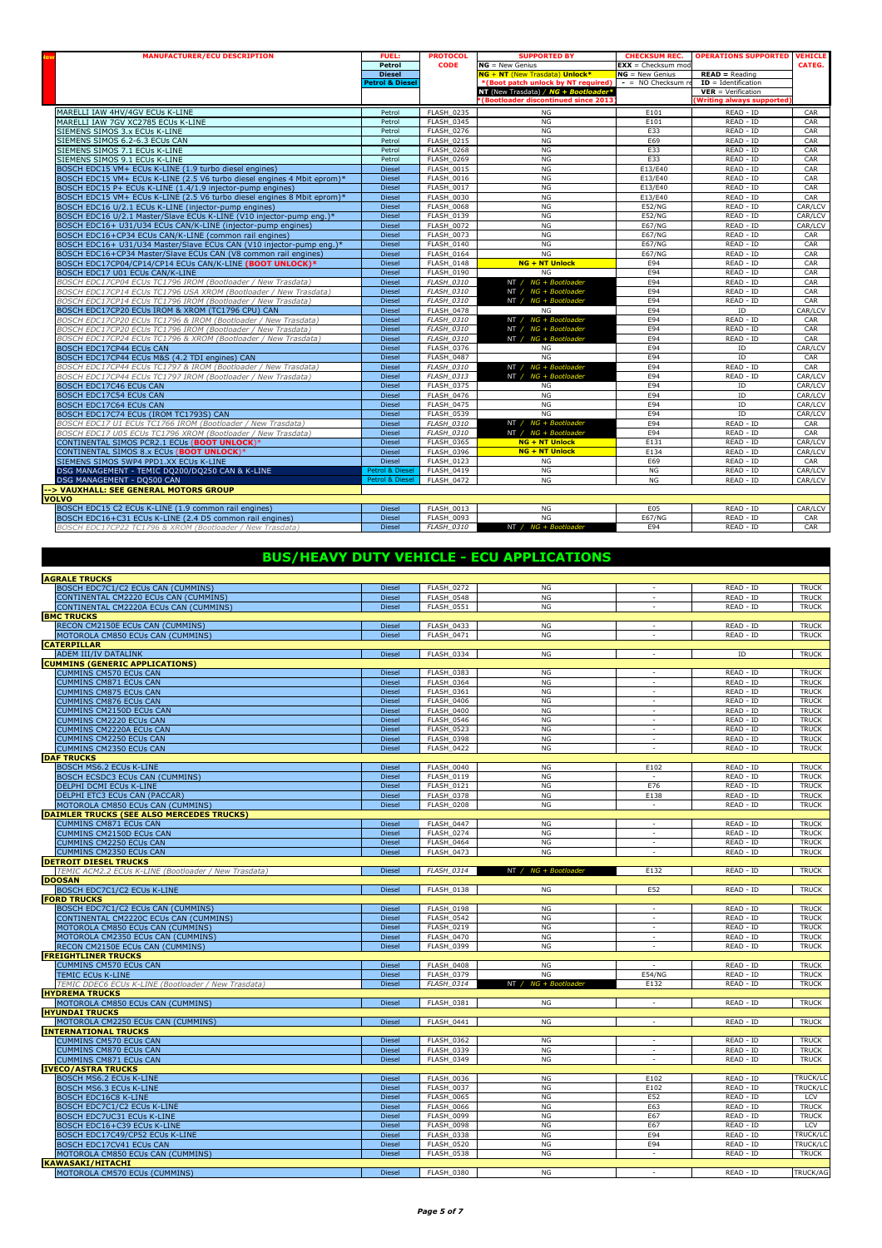| <b>MANUFACTURER/ECU DESCRIPTION</b>                                     | <b>FUEL:</b>               | <b>PROTOCOL</b>   | <b>SUPPORTED BY</b>                              | <b>CHECKSUM REC.</b> | <b>OPERATIONS SUPPORTED</b>     | <b>VEHICLE</b> |
|-------------------------------------------------------------------------|----------------------------|-------------------|--------------------------------------------------|----------------------|---------------------------------|----------------|
|                                                                         | Petrol                     | <b>CODE</b>       | $NG = New Genius$                                | $EXX =$ Checksum mod |                                 | CATEG.         |
|                                                                         | <b>Diesel</b>              |                   | NG + NT (New Trasdata) Unlock*                   | $NG = New Genius$    | $READ = Reading$                |                |
|                                                                         | <b>Petrol &amp; Diesel</b> |                   | *(Boot patch unlock by NT required)              | $-$ = NO Checksum re | $ID = Identification$           |                |
|                                                                         |                            |                   | NT (New Trasdata) / NG + Bootloader <sup>3</sup> |                      | $VER = Verification$            |                |
|                                                                         |                            |                   | (Bootloader discontinued since 2013              |                      | <b>Writing always supported</b> |                |
| MARELLI IAW 4HV/4GV ECUs K-LINE                                         | Petrol                     | <b>FLASH 0235</b> | NG                                               | E101                 | READ - ID                       | CAR            |
| MARELLI IAW 7GV XC2785 ECUs K-LINE                                      | Petrol                     | <b>FLASH 0345</b> | NG                                               | E101                 | $READ - ID$                     | CAR            |
| SIEMENS SIMOS 3.x ECUs K-LINE                                           | Petrol                     | <b>FLASH 0276</b> | NG                                               | E33                  | READ - ID                       | CAR            |
| SIEMENS SIMOS 6.2-6.3 ECUs CAN                                          | Petrol                     | FLASH 0215        | <b>NG</b>                                        | E69                  | READ - ID                       | CAR            |
| SIEMENS SIMOS 7.1 ECUs K-LINE                                           | Petrol                     | <b>FLASH 0268</b> | <b>NG</b>                                        | E33                  | READ - ID                       | CAR            |
| SIEMENS SIMOS 9.1 ECUs K-LINE                                           | Petrol                     | <b>FLASH 0269</b> | NG                                               | E33                  | READ - ID                       | CAR            |
| BOSCH EDC15 VM+ ECUs K-LINE (1.9 turbo diesel engines)                  | <b>Diesel</b>              | FLASH 0015        | NG                                               | E13/E40              | READ - ID                       | CAR            |
| BOSCH EDC15 VM+ ECUs K-LINE (2.5 V6 turbo diesel engines 4 Mbit eprom)* | <b>Diesel</b>              | <b>FLASH 0016</b> | NG                                               | E13/E40              | READ - ID                       | CAR            |
| BOSCH EDC15 P+ ECUs K-LINE (1.4/1.9 injector-pump engines)              | Diesel                     | <b>FLASH 0017</b> | NG                                               | E13/E40              | READ - ID                       | CAR            |
| BOSCH EDC15 VM+ ECUs K-LINE (2.5 V6 turbo diesel engines 8 Mbit eprom)* | <b>Diesel</b>              | <b>FLASH 0030</b> | NG                                               | E13/E40              | READ - ID                       | CAR            |
| BOSCH EDC16 U/2.1 ECUs K-LINE (injector-pump engines)                   | <b>Diesel</b>              | <b>FLASH 0068</b> | NG                                               | <b>E52/NG</b>        | READ - ID                       | CAR/LCV        |
| BOSCH EDC16 U/2.1 Master/Slave ECUs K-LINE (V10 injector-pump eng.)*    | <b>Diesel</b>              | <b>FLASH 0139</b> | NG                                               | <b>E52/NG</b>        | READ - ID                       | CAR/LCV        |
| BOSCH EDC16+ U31/U34 ECUs CAN/K-LINE (injector-pump engines)            | <b>Diesel</b>              | <b>FLASH 0072</b> | NG                                               | <b>E67/NG</b>        | READ - ID                       | CAR/LCV        |
| BOSCH EDC16+CP34 ECUs CAN/K-LINE (common rail engines)                  | <b>Diesel</b>              | <b>FLASH 0073</b> | NG                                               | <b>E67/NG</b>        | READ - ID                       | CAR            |
| BOSCH EDC16+ U31/U34 Master/Slave ECUs CAN (V10 injector-pump eng.)*    | <b>Diesel</b>              | <b>FLASH 0140</b> | NG                                               | <b>E67/NG</b>        | READ - ID                       | CAR            |
| BOSCH EDC16+CP34 Master/Slave ECUs CAN (V8 common rail engines)         | <b>Diesel</b>              | <b>FLASH 0164</b> | NG                                               | <b>E67/NG</b>        | READ - ID                       | CAR            |
| BOSCH EDC17CP04/CP14/CP14 ECUs CAN/K-LINE (BOOT UNLOCK)*                | <b>Diesel</b>              | <b>FLASH 0148</b> | <b>NG + NT Unlock</b>                            | E94                  | READ - ID                       | CAR            |
| BOSCH EDC17 U01 ECUs CAN/K-LINE                                         | <b>Diesel</b>              | <b>FLASH 0190</b> | NG                                               | E94                  | READ - ID                       | CAR            |
| BOSCH EDC17CP04 ECUs TC1796 IROM (Bootloader / New Trasdata)            | <b>Diesel</b>              | <b>FLASH 0310</b> | NT / NG + Bootloader                             | E94                  | READ - ID                       | CAR            |
| BOSCH EDC17CP14 ECUs TC1796 USA XROM (Bootloader / New Trasdata)        | <b>Diesel</b>              | <b>FLASH 0310</b> | NT / $NG + Boothoader$                           | E94                  | READ - ID                       | CAR            |
| BOSCH EDC17CP14 ECUs TC1796 IROM (Bootloader / New Trasdata)            | <b>Diesel</b>              | <b>FLASH 0310</b> | NT / $NG + Boothoader$                           | E94                  | READ - ID                       | CAR            |
| BOSCH EDC17CP20 ECUs IROM & XROM (TC1796 CPU) CAN                       | <b>Diesel</b>              | <b>FLASH 0478</b> | NG                                               | E94                  | <b>ID</b>                       | CAR/LCV        |
| BOSCH EDC17CP20 ECUs TC1796 & IROM (Bootloader / New Trasdata)          | <b>Diesel</b>              | <b>FLASH 0310</b> | NT / NG + Bootloader                             | E94                  | READ - ID                       | CAR            |
| BOSCH EDC17CP20 ECUs TC1796 IROM (Bootloader / New Trasdata)            | <b>Diesel</b>              | FLASH 0310        | NT / NG + Bootloader                             | E94                  | READ - ID                       | CAR            |
| BOSCH EDC17CP24 ECUs TC1796 & XROM (Bootloader / New Trasdata)          | <b>Diesel</b>              | <b>FLASH 0310</b> | NT / $NG + Boothoader$                           | E94                  | READ - ID                       | CAR            |
| <b>BOSCH EDC17CP44 ECUs CAN</b>                                         | Diesel                     | <b>FLASH 0376</b> | NG                                               | E94                  | ID                              | CAR/LCV        |
| BOSCH EDC17CP44 ECUs M&S (4.2 TDI engines) CAN                          | <b>Diesel</b>              | <b>FLASH 0487</b> | NG                                               | E94                  | ID                              | CAR            |
| BOSCH EDC17CP44 ECUs TC1797 & IROM (Bootloader / New Trasdata)          | <b>Diesel</b>              | <b>FLASH 0310</b> | NT / $NG + Boothoader$                           | E94                  | READ - ID                       | CAR            |
| BOSCH EDC17CP44 ECUs TC1797 IROM (Bootloader / New Trasdata)            | <b>Diesel</b>              | <b>FLASH 0313</b> | NT / NG + Bootloader                             | E94                  | READ - ID                       | CAR/LCV        |
| <b>BOSCH EDC17C46 ECUs CAN</b>                                          | <b>Diesel</b>              | <b>FLASH 0375</b> | NG                                               | E94                  | ID                              | CAR/LCV        |
| <b>BOSCH EDC17C54 ECUs CAN</b>                                          | <b>Diesel</b>              | <b>FLASH 0476</b> | NG                                               | E94                  | ID                              | CAR/LCV        |
| <b>BOSCH EDC17C64 ECUs CAN</b>                                          | <b>Diesel</b>              | <b>FLASH 0475</b> | NG                                               | E94                  | ID                              | CAR/LCV        |
| BOSCH EDC17C74 ECUs (IROM TC1793S) CAN                                  | <b>Diesel</b>              | <b>FLASH 0539</b> | NG                                               | E94                  | ID                              | CAR/LCV        |
| BOSCH EDC17 U1 ECUs TC1766 IROM (Bootloader / New Trasdata)             | <b>Diesel</b>              | <b>FLASH 0310</b> | NT / $NG + Boothoader$                           | E94                  | READ - ID                       | CAR            |
| BOSCH EDC17 U05 ECUs TC1796 XROM (Bootloader / New Trasdata)            | <b>Diesel</b>              | <b>FLASH 0310</b> | NT / $NG + Boothoader$                           | E94                  | READ - ID                       | CAR            |
| CONTINENTAL SIMOS PCR2.1 ECUs (BOOT UNLOCK)*                            | <b>Diesel</b>              | <b>FLASH 0365</b> | <b>NG + NT Unlock</b>                            | E131                 | READ - ID                       | CAR/LCV        |
| CONTINENTAL SIMOS 8.x ECUs (BOOT UNLOCK)*                               | <b>Diesel</b>              | <b>FLASH 0396</b> | $NG + NT$ Unlock                                 | E134                 | READ - ID                       | CAR/LCV        |
| SIEMENS SIMOS 5WP4 PPD1.XX ECUs K-LINE                                  | Diesel                     | <b>FLASH 0123</b> | NG                                               | E69                  | READ - ID                       | CAR            |
| DSG MANAGEMENT - TEMIC DQ200/DQ250 CAN & K-LINE                         | Petrol & Diesel            | <b>FLASH 0419</b> | NG                                               | NG                   | READ - ID                       | CAR/LCV        |
| DSG MANAGEMENT - DQ500 CAN                                              | <b>Petrol &amp; Diesel</b> | <b>FLASH 0472</b> | NG                                               | <b>NG</b>            | READ - ID                       | CAR/LCV        |
| -- > VAUXHALL: SEE GENERAL MOTORS GROUP                                 |                            |                   |                                                  |                      |                                 |                |
| <b>VOLVO</b>                                                            |                            |                   |                                                  |                      |                                 |                |
| BOSCH EDC15 C2 ECUs K-LINE (1.9 common rail engines)                    | <b>Diesel</b>              | <b>FLASH 0013</b> | NG                                               | E05                  | READ - ID                       | CAR/LCV        |
| BOSCH EDC16+C31 ECUs K-LINE (2.4 D5 common rail engines)                | <b>Diesel</b>              | FLASH 0093        | NG                                               | <b>E67/NG</b>        | READ - ID                       | CAR            |
| BOSCH EDC17CP22 TC1796 & XROM (Bootloader / New Trasdata)               | <b>Diesel</b>              | <b>FLASH 0310</b> | $NT / NG + Boothoader$                           | E94                  | READ - ID                       | CAR            |

## BUS/HEAVY DUTY VEHICLE - ECU APPLICATIONS

| <b>AGRALE TRUCKS</b>                                                  |               |                   |                        |                          |           |                 |
|-----------------------------------------------------------------------|---------------|-------------------|------------------------|--------------------------|-----------|-----------------|
| BOSCH EDC7C1/C2 ECUs CAN (CUMMINS)                                    | Diesel        | FLASH 0272        | NG                     | $\overline{a}$           | READ - ID | <b>TRUCK</b>    |
| CONTINENTAL CM2220 ECUs CAN (CUMMINS)                                 | <b>Diesel</b> | FLASH 0548        | NG                     | ٠                        | READ - ID | <b>TRUCK</b>    |
| CONTINENTAL CM2220A ECUs CAN (CUMMINS)                                | Diesel        | <b>FLASH 0551</b> | NG                     | ٠                        | READ - ID | <b>TRUCK</b>    |
| <b>BMC TRUCKS</b>                                                     |               |                   |                        |                          |           |                 |
| RECON CM2150E ECUs CAN (CUMMINS)                                      | Diesel        | FLASH 0433        | <b>NG</b>              | $\overline{a}$           | READ - ID | <b>TRUCK</b>    |
| MOTOROLA CM850 ECUs CAN (CUMMINS)                                     | Diesel        | <b>FLASH 0471</b> | NG                     | ÷,                       | READ - ID | <b>TRUCK</b>    |
| <b>CATERPILLAR</b>                                                    |               |                   |                        |                          |           |                 |
| ADEM III/IV DATALINK                                                  | Diesel        | FLASH 0334        | NG                     | $\overline{a}$           | ID        | <b>TRUCK</b>    |
| <b>CUMMINS (GENERIC APPLICATIONS)</b>                                 |               |                   |                        |                          |           |                 |
| <b>CUMMINS CM570 ECUs CAN</b>                                         | Diesel        | <b>FLASH 0383</b> | NG                     | $\sim$                   | READ - ID | <b>TRUCK</b>    |
| <b>CUMMINS CM871 ECUs CAN</b>                                         | <b>Diesel</b> | <b>FLASH 0364</b> | NG                     | $\overline{a}$           | READ - ID | <b>TRUCK</b>    |
| CUMMINS CM875 ECUs CAN                                                | <b>Diesel</b> | <b>FLASH 0361</b> | NG                     |                          | READ - ID | <b>TRUCK</b>    |
| <b>CUMMINS CM876 ECUs CAN</b>                                         | <b>Diesel</b> | <b>FLASH 0406</b> | NG                     | $\sim$                   | READ - ID | <b>TRUCK</b>    |
| CUMMINS CM2150D ECUs CAN                                              | <b>Diesel</b> | <b>FLASH_0400</b> | NG                     | $\overline{a}$           | READ - ID | <b>TRUCK</b>    |
| CUMMINS CM2220 ECUs CAN                                               | <b>Diesel</b> | <b>FLASH 0546</b> | NG                     |                          | READ - ID | <b>TRUCK</b>    |
| <b>CUMMINS CM2220A ECUs CAN</b>                                       | <b>Diesel</b> | <b>FLASH 0523</b> | NG                     | $\sim$                   | READ - ID | <b>TRUCK</b>    |
| <b>CUMMINS CM2250 ECUs CAN</b>                                        | Diesel        | FLASH_0398        | <b>NG</b>              |                          | READ - ID | <b>TRUCK</b>    |
| <b>CUMMINS CM2350 ECUs CAN</b>                                        | <b>Diesel</b> | FLASH 0422        | NG                     | $\sim$                   | READ - ID | <b>TRUCK</b>    |
| <b>DAF TRUCKS</b>                                                     |               |                   |                        |                          |           |                 |
| BOSCH MS6.2 ECUs K-LINE                                               | <b>Diesel</b> | FLASH 0040        | <b>NG</b>              | E102                     | READ - ID | <b>TRUCK</b>    |
| <b>BOSCH ECSDC3 ECUs CAN (CUMMINS)</b>                                | <b>Diesel</b> | <b>FLASH 0119</b> | <b>NG</b>              | ٠                        | READ - ID | <b>TRUCK</b>    |
| DELPHI DCMI ECUs K-LINE                                               | <b>Diesel</b> | FLASH_0121        | NG                     | E76                      | READ - ID | <b>TRUCK</b>    |
| DELPHI ETC3 ECUs CAN (PACCAR)                                         | <b>Diesel</b> | <b>FLASH 0378</b> | <b>NG</b>              | E138                     | READ - ID | <b>TRUCK</b>    |
| MOTOROLA CM850 ECUs CAN (CUMMINS)                                     | <b>Diesel</b> | <b>FLASH 0208</b> | <b>NG</b>              | $\sim$                   | READ - ID | <b>TRUCK</b>    |
| DAIMLER TRUCKS (SEE ALSO MERCEDES TRUCKS)                             |               |                   |                        |                          |           |                 |
| <b>CUMMINS CM871 ECUs CAN</b>                                         | Diesel        | FLASH 0447        | <b>NG</b>              | $\sim$                   | READ - ID | <b>TRUCK</b>    |
| <b>CUMMINS CM2150D ECUs CAN</b>                                       | <b>Diesel</b> | <b>FLASH 0274</b> | NG                     | $\overline{a}$           | READ - ID | <b>TRUCK</b>    |
| CUMMINS CM2250 ECUs CAN                                               | <b>Diesel</b> | <b>FLASH_0464</b> | NG                     | $\overline{\phantom{a}}$ | READ - ID | <b>TRUCK</b>    |
| CUMMINS CM2350 ECUs CAN                                               | Diesel        | <b>FLASH 0473</b> | NG                     | $\sim$                   | READ - ID | <b>TRUCK</b>    |
| <b>DETROIT DIESEL TRUCKS</b>                                          |               |                   |                        |                          |           |                 |
| TEMIC ACM2.2 ECUs K-LINE (Bootloader / New Trasdata)<br><b>DOOSAN</b> | Diesel        | FLASH 0314        | NT / NG + Bootloader   | E132                     | READ - ID | <b>TRUCK</b>    |
| BOSCH EDC7C1/C2 ECUs K-LINE                                           | Diesel        | <b>FLASH 0138</b> | NG                     | E52                      | READ - ID | <b>TRUCK</b>    |
| <b>FORD TRUCKS</b>                                                    |               |                   |                        |                          |           |                 |
| BOSCH EDC7C1/C2 ECUs CAN (CUMMINS)                                    | Diesel        | <b>FLASH 0198</b> | NG                     | ÷.                       | READ - ID | <b>TRUCK</b>    |
| CONTINENTAL CM2220C ECUs CAN (CUMMINS)                                | Diesel        | FLASH 0542        | NG                     | $\sim$                   | READ - ID | <b>TRUCK</b>    |
| MOTOROLA CM850 ECUs CAN (CUMMINS)                                     | Diesel        | <b>FLASH 0219</b> | NG                     |                          | READ - ID | <b>TRUCK</b>    |
| MOTOROLA CM2350 ECUs CAN (CUMMINS)                                    | Diesel        | <b>FLASH 0470</b> | NG                     | $\overline{\phantom{a}}$ | READ - ID | <b>TRUCK</b>    |
| RECON CM2150E ECUs CAN (CUMMINS)                                      | <b>Diesel</b> | <b>FLASH 0399</b> | <b>NG</b>              | $\overline{a}$           | READ - ID | <b>TRUCK</b>    |
| <b>FREIGHTLINER TRUCKS</b>                                            |               |                   |                        |                          |           |                 |
| <b>CUMMINS CM570 ECUs CAN</b>                                         | Diesel        | <b>FLASH 0408</b> | NG                     | ٠                        | READ - ID | <b>TRUCK</b>    |
| <b>TEMIC ECUs K-LINE</b>                                              | <b>Diesel</b> | <b>FLASH 0379</b> | NG                     | <b>E54/NG</b>            | READ - ID | <b>TRUCK</b>    |
| TEMIC DDEC6 ECUs K-LINE (Bootloader / New Trasdata)                   | Diesel        | FLASH 0314        | NT / $NG + Boothoader$ | E132                     | READ - ID | <b>TRUCK</b>    |
| <b>HYDREMA TRUCKS</b>                                                 |               |                   |                        |                          |           |                 |
| MOTOROLA CM850 ECUs CAN (CUMMINS)                                     | <b>Diesel</b> | <b>FLASH 0381</b> | <b>NG</b>              | τ                        | READ - ID | <b>TRUCK</b>    |
| <b>HYUNDAI TRUCKS</b>                                                 |               |                   |                        |                          |           |                 |
| MOTOROLA CM2250 ECUs CAN (CUMMINS)                                    | Diesel        | FLASH 0441        | NG                     | $\sim$                   | READ - ID | <b>TRUCK</b>    |
| <b>INTERNATIONAL TRUCKS</b>                                           |               |                   |                        |                          |           |                 |
| <b>CUMMINS CM570 ECUs CAN</b>                                         | Diesel        | <b>FLASH 0362</b> | NG                     |                          | READ - ID | <b>TRUCK</b>    |
| <b>CUMMINS CM870 ECUs CAN</b>                                         | <b>Diesel</b> | <b>FLASH 0339</b> | NG                     | $\sim$                   | READ - ID | <b>TRUCK</b>    |
| CUMMINS CM871 ECUs CAN                                                | Diesel        | <b>FLASH 0349</b> | NG                     | $\sim$                   | READ - ID | <b>TRUCK</b>    |
| <b>IVECO/ASTRA TRUCKS</b>                                             |               |                   |                        |                          |           |                 |
| BOSCH MS6.2 ECUs K-LINE                                               | Diesel        | <b>FLASH 0036</b> | NG                     | E102                     | READ - ID | <b>TRUCK/LC</b> |
| BOSCH MS6.3 ECUs K-LINE                                               | Diesel        | FLASH_0037        | NG                     | E102                     | READ - ID | TRUCK/LC        |
| <b>BOSCH EDC16C8 K-LINE</b>                                           | <b>Diesel</b> | <b>FLASH 0065</b> | NG                     | E52                      | READ - ID | LCV             |
| <b>BOSCH EDC7C1/C2 ECUs K-LINE</b>                                    | <b>Diesel</b> | <b>FLASH 0066</b> | NG                     | E63                      | READ - ID | <b>TRUCK</b>    |
| BOSCH EDC7UC31 ECUs K-LINE                                            | Diesel        | FLASH_0099        | NG                     | E67                      | READ - ID | <b>TRUCK</b>    |
| BOSCH EDC16+C39 ECUs K-LINE                                           | <b>Diesel</b> | <b>FLASH 0098</b> | NG                     | E67                      | READ - ID | LCV             |
| BOSCH EDC17C49/CP52 ECUs K-LINE                                       | <b>Diesel</b> | <b>FLASH 0338</b> | NG                     | E94                      | READ - ID | TRUCK/LC        |
| BOSCH EDC17CV41 ECUs CAN                                              | <b>Diesel</b> | <b>FLASH 0520</b> | <b>NG</b>              | E94                      | READ - ID | TRUCK/LC        |
| MOTOROLA CM850 ECUs CAN (CUMMINS)                                     | <b>Diesel</b> | <b>FLASH 0538</b> | NG                     | $\overline{a}$           | READ - ID | <b>TRUCK</b>    |
| <b>KAWASAKI/HITACHI</b>                                               |               |                   |                        |                          |           | <b>TRUCK/AG</b> |
| MOTOROLA CM570 ECUs (CUMMINS)                                         | <b>Diesel</b> | FLASH 0380        | <b>NG</b>              | $\overline{a}$           | READ - ID |                 |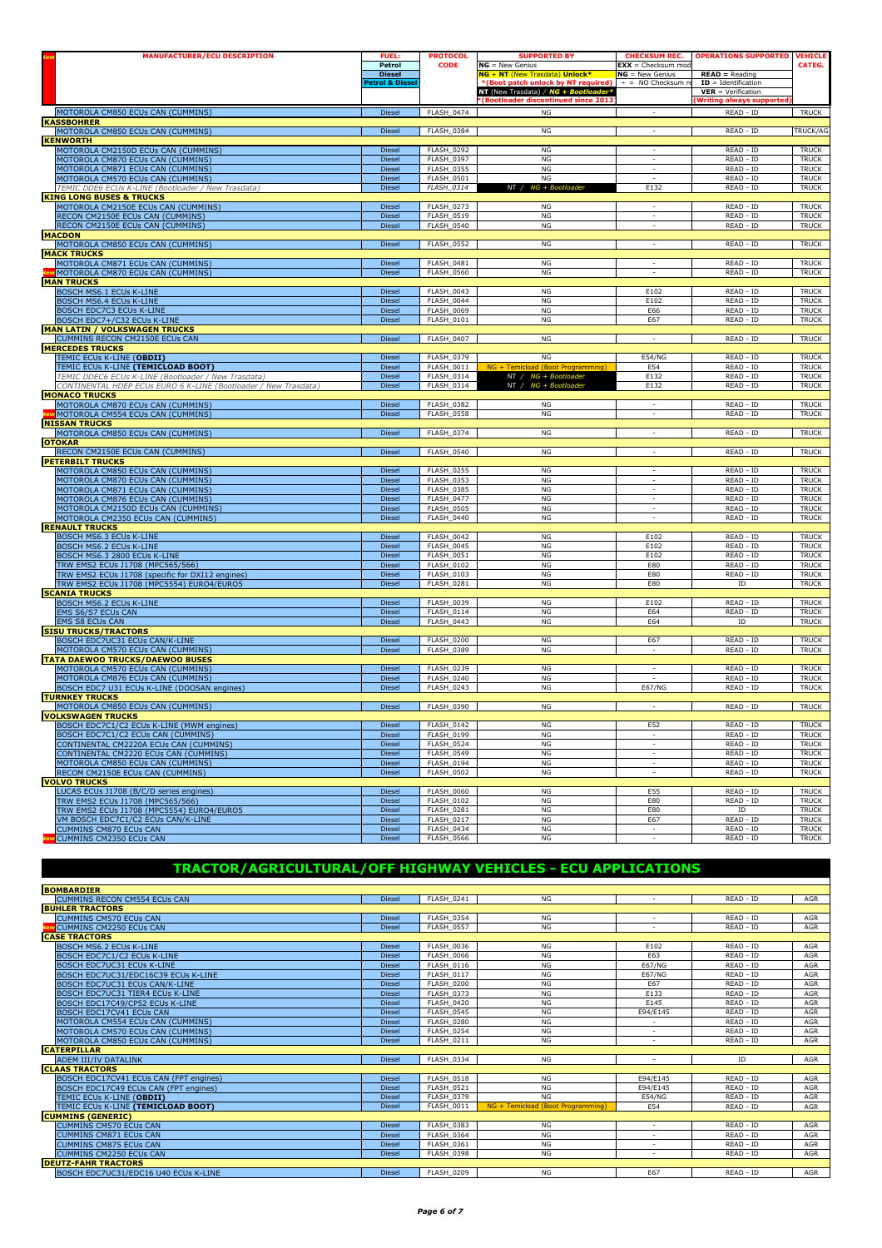|                                                                                               | <b>FUEL:</b>                                | <b>PROTOCOL</b>                        | <b>SUPPORTED BY</b>                                                  | <b>CHECKSUM REC.</b>                                 | <b>OPERATIONS SUPPORTED</b>               | <b>VEHICLE</b>               |
|-----------------------------------------------------------------------------------------------|---------------------------------------------|----------------------------------------|----------------------------------------------------------------------|------------------------------------------------------|-------------------------------------------|------------------------------|
|                                                                                               | Petrol                                      | <b>CODE</b>                            | $NG = New Genius$                                                    | $\overline{\text{EXX}}$ = Checksum mod               |                                           | CATEG.                       |
|                                                                                               | <b>Diesel</b><br><b>Petrol &amp; Diesel</b> |                                        | NG + NT (New Trasdata) Unlock*<br>(Boot patch unlock by NT required) | $NG = New Genius$<br>$-$ = NO Checksum re            | $READ = Reading$<br>$ID = Identification$ |                              |
|                                                                                               |                                             |                                        | NT (New Trasdata) / NG + Boot                                        |                                                      | $VER = Verification$                      |                              |
|                                                                                               |                                             |                                        | <b>Bootloader discontinued since 2013</b>                            |                                                      | <b>Writing always supported</b>           |                              |
| MOTOROLA CM850 ECUs CAN (CUMMINS)                                                             | Diesel                                      | FLASH_0474                             | NG                                                                   |                                                      | READ - ID                                 | <b>TRUCK</b>                 |
| <b>KASSBOHRER</b><br>MOTOROLA CM850 ECUs CAN (CUMMINS)                                        | <b>Diesel</b>                               | FLASH 0384                             | NG                                                                   |                                                      | READ - ID                                 | TRUCK/AG                     |
| <b>KENWORTH</b>                                                                               |                                             |                                        |                                                                      |                                                      |                                           |                              |
| MOTOROLA CM2150D ECUs CAN (CUMMINS)                                                           | Diesel                                      | <b>FLASH 0292</b>                      | NG                                                                   | $\overline{\phantom{a}}$                             | READ - ID                                 | <b>TRUCK</b>                 |
| MOTOROLA CM870 ECUs CAN (CUMMINS)                                                             | Diesel                                      | <b>FLASH 0397</b>                      | NG                                                                   | $\overline{\phantom{a}}$                             | READ - ID                                 | <b>TRUCK</b>                 |
| MOTOROLA CM871 ECUs CAN (CUMMINS)                                                             | <b>Diesel</b>                               | <b>FLASH 0355</b>                      | NG<br>NG                                                             | $\overline{\phantom{a}}$<br>$\overline{\phantom{a}}$ | READ - ID                                 | <b>TRUCK</b>                 |
| MOTOROLA CM570 ECUs CAN (CUMMINS)<br>TEMIC DDE6 ECUs K-LINE (Bootloader / New Trasdata)       | <b>Diesel</b><br>Diesel                     | <b>FLASH_0501</b><br><b>FLASH_0314</b> | NT /<br>NG + Bootloader                                              | E132                                                 | READ - ID<br>READ - ID                    | <b>TRUCK</b><br><b>TRUCK</b> |
| <b>KING LONG BUSES &amp; TRUCKS</b>                                                           |                                             |                                        |                                                                      |                                                      |                                           |                              |
| MOTOROLA CM2150E ECUs CAN (CUMMINS)                                                           | <b>Diesel</b>                               | FLASH_0273                             | NG                                                                   |                                                      | READ - ID                                 | <b>TRUCK</b>                 |
| RECON CM2150E ECUs CAN (CUMMINS)                                                              | Diesel                                      | <b>FLASH_0519</b>                      | <b>NG</b>                                                            | $\overline{\phantom{a}}$                             | READ - ID                                 | <b>TRUCK</b>                 |
| RECON CM2150E ECUs CAN (CUMMINS)                                                              | Diesel                                      | <b>FLASH_0540</b>                      | NG                                                                   | $\sim$                                               | READ - ID                                 | <b>TRUCK</b>                 |
| <b>MACDON</b><br>MOTOROLA CM850 ECUs CAN (CUMMINS)                                            | <b>Diesel</b>                               | <b>FLASH 0552</b>                      | NG                                                                   | $\sim$                                               | READ - ID                                 | <b>TRUCK</b>                 |
| <b>MACK TRUCKS</b>                                                                            |                                             |                                        |                                                                      |                                                      |                                           |                              |
| MOTOROLA CM871 ECUs CAN (CUMMINS)                                                             | <b>Diesel</b>                               | <b>FLASH_0481</b>                      | NG                                                                   | $\sim$                                               | READ - ID                                 | <b>TRUCK</b>                 |
| MOTOROLA CM870 ECUs CAN (CUMMINS)                                                             | Diesel                                      | <b>FLASH_0560</b>                      | NG                                                                   | $\sim$                                               | READ - ID                                 | <b>TRUCK</b>                 |
| <b>MAN TRUCKS</b>                                                                             |                                             |                                        |                                                                      |                                                      |                                           |                              |
| <b>BOSCH MS6.1 ECUs K-LINE</b>                                                                | <b>Diesel</b><br>Diesel                     | FLASH 0043<br>FLASH_0044               | NG<br>NG                                                             | E102<br>E102                                         | READ - ID<br>READ - ID                    | <b>TRUCK</b><br><b>TRUCK</b> |
| BOSCH MS6.4 ECUs K-LINE<br><b>BOSCH EDC7C3 ECUs K-LINE</b>                                    | Diesel                                      | <b>FLASH_0069</b>                      | NG                                                                   | E66                                                  | READ - ID                                 | <b>TRUCK</b>                 |
| BOSCH EDC7+/C32 ECUs K-LINE                                                                   | Diesel                                      | FLASH_0101                             | NG                                                                   | E67                                                  | READ - ID                                 | <b>TRUCK</b>                 |
| <b>MAN LATIN / VOLKSWAGEN TRUCKS</b>                                                          |                                             |                                        |                                                                      |                                                      |                                           |                              |
| CUMMINS RECON CM2150E ECUs CAN                                                                | Diesel                                      | FLASH_0407                             | NG                                                                   | $\sim$                                               | READ - ID                                 | <b>TRUCK</b>                 |
| <b>MERCEDES TRUCKS</b>                                                                        |                                             |                                        |                                                                      |                                                      |                                           |                              |
| TEMIC ECUs K-LINE (OBDII)                                                                     | Diesel                                      | FLASH_0379                             | NG                                                                   | <b>E54/NG</b>                                        | READ - ID                                 | <b>TRUCK</b>                 |
| TEMIC ECUs K-LINE (TEMICLOAD BOOT)<br>TEMIC DDEC6 ECUs K-LINE (Bootloader / New Trasdata)     | <b>Diesel</b><br>Diesel                     | <b>FLASH 0011</b><br>FLASH_0314        | NG + Temicload (Boot Programming<br>NT / NG + Bootloader             | E54<br>E132                                          | READ - ID<br>READ - ID                    | <b>TRUCK</b><br><b>TRUCK</b> |
| CONTINENTAL HDEP ECUs EURO 6 K-LINE (Bootloader / New Trasdata)                               | Diesel                                      | FLASH_0314                             | NT / NG + Bootlo                                                     | E132                                                 | READ - ID                                 | <b>TRUCK</b>                 |
| <b>MONACO TRUCKS</b>                                                                          |                                             |                                        |                                                                      |                                                      |                                           |                              |
| MOTOROLA CM870 ECUs CAN (CUMMINS)                                                             | <b>Diesel</b>                               | <b>FLASH 0382</b>                      | NG                                                                   | ÷,                                                   | READ - ID                                 | <b>TRUCK</b>                 |
| MOTOROLA CM554 ECUs CAN (CUMMINS)                                                             | <b>Diesel</b>                               | <b>FLASH_0558</b>                      | <b>NG</b>                                                            | $\overline{\phantom{a}}$                             | READ - ID                                 | <b>TRUCK</b>                 |
| <b>NISSAN TRUCKS</b><br>MOTOROLA CM850 ECUs CAN (CUMMINS)                                     |                                             | FLASH 0374                             |                                                                      | $\sim$                                               |                                           |                              |
| <b>OTOKAR</b>                                                                                 | Diesel                                      |                                        | ΝG                                                                   |                                                      | READ - ID                                 | <b>TRUCK</b>                 |
| RECON CM2150E ECUs CAN (CUMMINS)                                                              | Diesel                                      | <b>FLASH_0540</b>                      | NG                                                                   | $\sim$                                               | READ - ID                                 | <b>TRUCK</b>                 |
| <b>PETERBILT TRUCKS</b>                                                                       |                                             |                                        |                                                                      |                                                      |                                           |                              |
| MOTOROLA CM850 ECUs CAN (CUMMINS)                                                             | Diesel                                      | <b>FLASH 0255</b>                      |                                                                      |                                                      |                                           |                              |
|                                                                                               |                                             |                                        | NG                                                                   | $\sim$                                               | READ - ID                                 | <b>TRUCK</b>                 |
| MOTOROLA CM870 ECUs CAN (CUMMINS)                                                             | <b>Diesel</b>                               | <b>FLASH 0353</b>                      | NG                                                                   |                                                      | READ - ID                                 | <b>TRUCK</b>                 |
| MOTOROLA CM871 ECUs CAN (CUMMINS)                                                             | <b>Diesel</b>                               | FLASH_0385                             | $_{\rm NG}$                                                          | $\overline{\phantom{a}}$                             | $READ - ID$                               | <b>TRUCK</b>                 |
| MOTOROLA CM876 ECUs CAN (CUMMINS)                                                             | Diesel                                      | <b>FLASH_0477</b>                      | $_{\rm NG}$                                                          | $\sim$<br>$\overline{\phantom{a}}$                   | READ - ID                                 | <b>TRUCK</b>                 |
| MOTOROLA CM2150D ECUs CAN (CUMMINS)                                                           | <b>Diesel</b><br><b>Diesel</b>              | <b>FLASH_0505</b><br>FLASH 0440        | NG<br>NG                                                             |                                                      | READ - ID<br>READ - ID                    | <b>TRUCK</b><br><b>TRUCK</b> |
| MOTOROLA CM2350 ECUs CAN (CUMMINS)<br><b>RENAULT TRUCKS</b>                                   |                                             |                                        |                                                                      |                                                      |                                           |                              |
| BOSCH MS6.3 ECUs K-LINE                                                                       | Diesel                                      | <b>FLASH_0042</b>                      | $_{\rm NG}$                                                          | E102                                                 | READ - ID                                 | <b>TRUCK</b>                 |
| BOSCH MS6.2 ECUs K-LINE                                                                       | Diesel                                      | <b>FLASH_0045</b>                      | NG                                                                   | E102                                                 | READ - ID                                 | <b>TRUCK</b>                 |
| BOSCH MS6.3 2800 ECUs K-LINE                                                                  | Diesel                                      | <b>FLASH_0051</b>                      | NG                                                                   | E102                                                 | READ - ID                                 | <b>TRUCK</b>                 |
| TRW EMS2 ECUs J1708 (MPC565/566)                                                              | Diesel                                      | <b>FLASH 0102</b>                      | NG                                                                   | E80                                                  | READ - ID                                 | <b>TRUCK</b>                 |
| TRW EMS2 ECUs J1708 (specific for DXI12 engines)<br>TRW EMS2 ECUs J1708 (MPC5554) EURO4/EURO5 | <b>Diesel</b><br>Diesel                     | FLASH_0103<br>FLASH_0281               | <b>NG</b><br>$_{\rm NG}$                                             | E80<br>E80                                           | READ - ID<br>ID                           | <b>TRUCK</b><br><b>TRUCK</b> |
| <b>SCANIA TRUCKS</b>                                                                          |                                             |                                        |                                                                      |                                                      |                                           |                              |
| <b>BOSCH MS6.2 ECUs K-LINE</b>                                                                | <b>Diesel</b>                               | <b>FLASH 0039</b>                      | NG                                                                   | E102                                                 | READ - ID                                 | <b>TRUCK</b>                 |
| EMS S6/S7 ECUs CAN                                                                            | Diesel                                      | <b>FLASH_0114</b>                      | NG                                                                   | E64                                                  | READ - ID                                 | <b>TRUCK</b>                 |
| <b>EMS S8 ECUs CAN</b>                                                                        | Diesel                                      | FLASH 0443                             | NG                                                                   | E64                                                  | ID                                        | <b>TRUCK</b>                 |
| <b>SISU TRUCKS/TRACTORS</b>                                                                   | <b>Diesel</b>                               | <b>FLASH 0200</b>                      | NG                                                                   | E67                                                  | READ - ID                                 | <b>TRUCK</b>                 |
| BOSCH EDC7UC31 ECUs CAN/K-LINE<br>MOTOROLA CM570 ECUs CAN (CUMMINS)                           | <b>Diesel</b>                               | FLASH_0389                             | $_{\rm NG}$                                                          |                                                      | READ - ID                                 | <b>TRUCK</b>                 |
| <b>TATA DAEWOO TRUCKS/DAEWOO BUSES</b>                                                        |                                             |                                        |                                                                      |                                                      |                                           |                              |
| MOTOROLA CM570 ECUs CAN (CUMMINS)                                                             | Diesel                                      | <b>FLASH 0239</b>                      | NG                                                                   | $\sim$                                               | READ - ID                                 | <b>TRUCK</b>                 |
| MOTOROLA CM876 ECUs CAN (CUMMINS)                                                             | <b>Diesel</b>                               | <b>FLASH 0240</b>                      | NG                                                                   |                                                      | READ - ID                                 | <b>TRUCK</b>                 |
| BOSCH EDC7 U31 ECUs K-LINE (DOOSAN engines)                                                   | Diesel                                      | FLASH_0243                             | <b>NG</b>                                                            | E67/NG                                               | READ - ID                                 | <b>TRUCK</b>                 |
| <b>TURNKEY TRUCKS</b>                                                                         |                                             |                                        | NG                                                                   | $\sim$                                               | READ - ID                                 | <b>TRUCK</b>                 |
| MOTOROLA CM850 ECUs CAN (CUMMINS)<br><b>VOLKSWAGEN TRUCKS</b>                                 | Diesel                                      | <b>FLASH_0390</b>                      |                                                                      |                                                      |                                           |                              |
| BOSCH EDC7C1/C2 ECUs K-LINE (MWM engines)                                                     | <b>Diesel</b>                               | <b>FLASH 0142</b>                      | NG                                                                   | E52                                                  | READ - ID                                 | <b>TRUCK</b>                 |
| BOSCH EDC7C1/C2 ECUs CAN (CUMMINS)                                                            | Diesel                                      | FLASH_0199                             | NG                                                                   | $\sim$                                               | READ - ID                                 | <b>TRUCK</b>                 |
| CONTINENTAL CM2220A ECUs CAN (CUMMINS)                                                        | <b>Diesel</b>                               | <b>FLASH_0524</b>                      | NG                                                                   | $\overline{\phantom{a}}$                             | READ - ID                                 | <b>TRUCK</b>                 |
| CONTINENTAL CM2220 ECUs CAN (CUMMINS)                                                         | <b>Diesel</b>                               | <b>FLASH 0549</b>                      | NG                                                                   |                                                      | READ - ID                                 | <b>TRUCK</b>                 |
| MOTOROLA CM850 ECUs CAN (CUMMINS)<br>RECOM CM2150E ECUs CAN (CUMMINS)                         | Diesel<br>Diesel                            | <b>FLASH 0194</b><br><b>FLASH_0502</b> | NG<br>NG                                                             | $\sim$<br>$\sim$                                     | READ - ID<br>READ - ID                    | <b>TRUCK</b><br><b>TRUCK</b> |
| <b>VOLVO TRUCKS</b>                                                                           |                                             |                                        |                                                                      |                                                      |                                           |                              |
| LUCAS ECUs J1708 (B/C/D series engines)                                                       | <b>Diesel</b>                               | <b>FLASH 0060</b>                      | NG                                                                   | E55                                                  | READ - ID                                 | <b>TRUCK</b>                 |
| TRW EMS2 ECUs J1708 (MPC565/566)                                                              | <b>Diesel</b>                               | <b>FLASH 0102</b>                      | NG                                                                   | E80                                                  | READ - ID                                 | <b>TRUCK</b>                 |
| TRW EMS2 ECUs J1708 (MPC5554) EURO4/EURO5                                                     | Diesel                                      | FLASH_0281                             | $_{\rm NG}$                                                          | E80                                                  | ID                                        | <b>TRUCK</b>                 |
| VM BOSCH EDC7C1/C2 ECUs CAN/K-LINE<br><b>CUMMINS CM870 ECUs CAN</b>                           | Diesel<br><b>Diesel</b>                     | <b>FLASH 0217</b><br>FLASH 0434        | <b>NG</b><br>NG                                                      | E67<br>$\overline{\phantom{a}}$                      | READ - ID<br>READ - ID                    | <b>TRUCK</b><br><b>TRUCK</b> |

### TRACTOR/AGRICULTURAL/OFF HIGHWAY VEHICLES - ECU APPLICATIONS

| <b>BOMBARDIER</b>                       |               |                   |                                   |                          |           |            |
|-----------------------------------------|---------------|-------------------|-----------------------------------|--------------------------|-----------|------------|
| <b>CUMMINS RECON CM554 ECUs CAN</b>     | <b>Diesel</b> | <b>FLASH 0241</b> | <b>NG</b>                         | $\sim$                   | READ - ID | <b>AGR</b> |
| <b>BUHLER TRACTORS</b>                  |               |                   |                                   |                          |           |            |
| CUMMINS CM570 ECUs CAN                  | <b>Diesel</b> | <b>FLASH 0354</b> | <b>NG</b>                         | $\sim$                   | READ - ID | <b>AGR</b> |
| <b>CUMMINS CM2250 ECUs CAN</b>          | <b>Diesel</b> | <b>FLASH 0557</b> | <b>NG</b>                         | $\overline{\phantom{a}}$ | READ - ID | AGR        |
| <b>CASE TRACTORS</b>                    |               |                   |                                   |                          |           |            |
| <b>BOSCH MS6.2 ECUS K-LINE</b>          | <b>Diesel</b> | <b>FLASH 0036</b> | NG                                | E102                     | READ - ID | <b>AGR</b> |
| BOSCH EDC7C1/C2 ECUs K-LINE             | <b>Diesel</b> | <b>FLASH 0066</b> | <b>NG</b>                         | E63                      | READ - ID | <b>AGR</b> |
| <b>BOSCH EDC7UC31 ECUs K-LINE</b>       | <b>Diesel</b> | <b>FLASH 0116</b> | <b>NG</b>                         | <b>E67/NG</b>            | READ - ID | <b>AGR</b> |
| BOSCH EDC7UC31/EDC16C39 ECUs K-LINE     | <b>Diesel</b> | <b>FLASH 0117</b> | NG                                | <b>E67/NG</b>            | READ - ID | <b>AGR</b> |
| BOSCH EDC7UC31 ECUs CAN/K-LINE          | <b>Diesel</b> | <b>FLASH 0200</b> | <b>NG</b>                         | E67                      | READ - ID | AGR        |
| <b>BOSCH EDC7UC31 TIER4 ECUs K-LINE</b> | <b>Diesel</b> | <b>FLASH 0373</b> | <b>NG</b>                         | E133                     | READ - ID | AGR        |
| BOSCH EDC17C49/CP52 ECUs K-LINE         | <b>Diesel</b> | <b>FLASH 0420</b> | <b>NG</b>                         | F145                     | READ - ID | <b>AGR</b> |
| <b>BOSCH EDC17CV41 ECUs CAN</b>         | <b>Diesel</b> | FLASH 0545        | NG                                | E94/E145                 | READ - ID | AGR        |
| MOTOROLA CM554 ECUs CAN (CUMMINS)       | <b>Diesel</b> | <b>FLASH 0280</b> | NG                                |                          | READ - ID | <b>AGR</b> |
| MOTOROLA CM570 ECUs CAN (CUMMINS)       | <b>Diesel</b> | FLASH 0254        | <b>NG</b>                         | $\overline{\phantom{a}}$ | READ - ID | AGR        |
| MOTOROLA CM850 ECUs CAN (CUMMINS)       | <b>Diesel</b> | <b>FLASH 0211</b> | <b>NG</b>                         | ٠                        | READ - ID | <b>AGR</b> |
| <b>CATERPILLAR</b>                      |               |                   |                                   |                          |           |            |
| <b>ADEM III/IV DATALINK</b>             | <b>Diesel</b> | FLASH 0334        | <b>NG</b>                         | $\sim$                   | ID        | <b>AGR</b> |
| <b>CLAAS TRACTORS</b>                   |               |                   |                                   |                          |           |            |
| BOSCH EDC17CV41 ECUs CAN (FPT engines)  | <b>Diesel</b> | FLASH 0518        | NG                                | E94/E145                 | READ - ID | <b>AGR</b> |
| BOSCH EDC17C49 ECUs CAN (FPT engines)   | <b>Diesel</b> | <b>FLASH 0521</b> | <b>NG</b>                         | E94/E145                 | READ - ID | <b>AGR</b> |
| TEMIC ECUs K-LINE (OBDII)               | <b>Diesel</b> | <b>FLASH 0379</b> | NG                                | <b>E54/NG</b>            | READ - ID | AGR        |
| TEMIC ECUs K-LINE (TEMICLOAD BOOT)      | <b>Diesel</b> | <b>FLASH 0011</b> | NG + Temicload (Boot Programming) | E54                      | RFAD - ID | <b>AGR</b> |
| <b>CUMMINS (GENERIC)</b>                |               |                   |                                   |                          |           |            |
| <b>CUMMINS CM570 ECUs CAN</b>           | <b>Diesel</b> | <b>FLASH 0383</b> | NG                                | $\overline{\phantom{a}}$ | READ - ID | <b>AGR</b> |
| <b>CUMMINS CM871 ECUs CAN</b>           | <b>Diesel</b> | <b>FLASH 0364</b> | <b>NG</b>                         |                          | READ - ID | <b>AGR</b> |
| CUMMINS CM875 ECUs CAN                  | <b>Diesel</b> | <b>FLASH 0361</b> | <b>NG</b>                         | $\overline{\phantom{a}}$ | READ - ID | AGR        |
| CUMMINS CM2250 FCUs CAN                 | <b>Diesel</b> | <b>FLASH 0398</b> | NG                                | $\overline{\phantom{0}}$ | READ - ID | <b>AGR</b> |
| <b>DEUTZ-FAHR TRACTORS</b>              |               |                   |                                   |                          |           |            |
| BOSCH EDC7UC31/EDC16 U40 ECUs K-LINE    | <b>Diesel</b> | <b>FLASH 0209</b> | NG                                | E67                      | READ - ID | <b>AGR</b> |